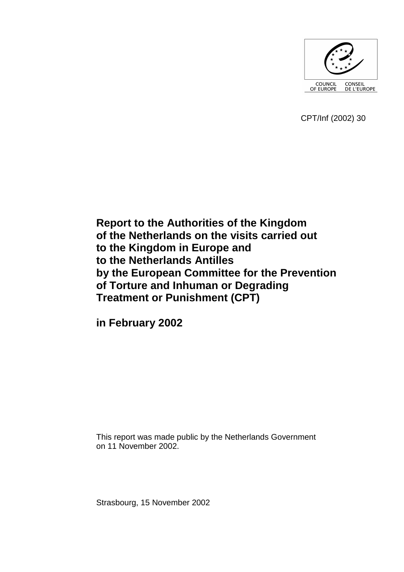

CPT/Inf (2002) 30

**Report to the Authorities of the Kingdom of the Netherlands on the visits carried out to the Kingdom in Europe and to the Netherlands Antilles by the European Committee for the Prevention of Torture and Inhuman or Degrading Treatment or Punishment (CPT)** 

**in February 2002** 

This report was made public by the Netherlands Government on 11 November 2002.

Strasbourg, 15 November 2002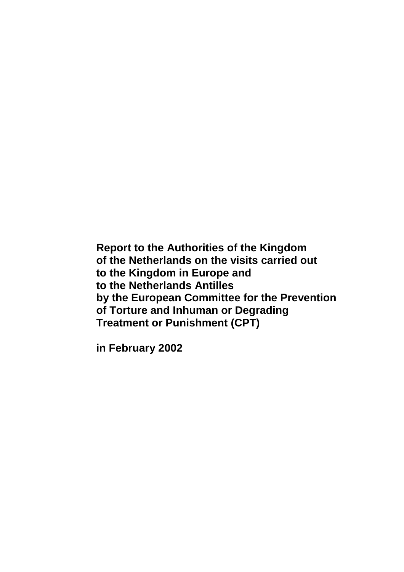**Report to the Authorities of the Kingdom of the Netherlands on the visits carried out to the Kingdom in Europe and to the Netherlands Antilles by the European Committee for the Prevention of Torture and Inhuman or Degrading Treatment or Punishment (CPT)** 

**in February 2002**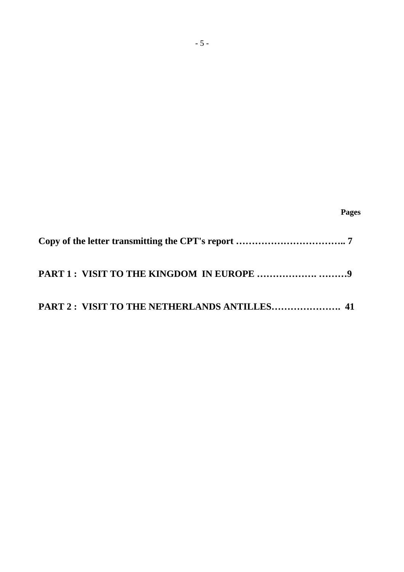| PART 2: VISIT TO THE NETHERLANDS ANTILLES 41 |
|----------------------------------------------|

 **Pages**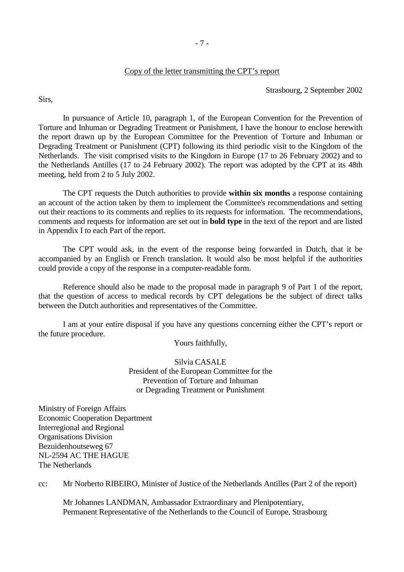#### Copy of the letter transmitting the CPT's report

Strasbourg, 2 September 2002

Sirs,

 In pursuance of Article 10, paragraph 1, of the European Convention for the Prevention of Torture and Inhuman or Degrading Treatment or Punishment, I have the honour to enclose herewith the report drawn up by the European Committee for the Prevention of Torture and Inhuman or Degrading Treatment or Punishment (CPT) following its third periodic visit to the Kingdom of the Netherlands. The visit comprised visits to the Kingdom in Europe (17 to 26 February 2002) and to the Netherlands Antilles (17 to 24 February 2002). The report was adopted by the CPT at its 48th meeting, held from 2 to 5 July 2002.

 The CPT requests the Dutch authorities to provide **within six months** a response containing an account of the action taken by them to implement the Committee's recommendations and setting out their reactions to its comments and replies to its requests for information. The recommendations, comments and requests for information are set out in **bold type** in the text of the report and are listed in Appendix I to each Part of the report.

 The CPT would ask, in the event of the response being forwarded in Dutch, that it be accompanied by an English or French translation. It would also be most helpful if the authorities could provide a copy of the response in a computer-readable form.

 Reference should also be made to the proposal made in paragraph 9 of Part 1 of the report, that the question of access to medical records by CPT delegations be the subject of direct talks between the Dutch authorities and representatives of the Committee.

 I am at your entire disposal if you have any questions concerning either the CPT's report or the future procedure.

Yours faithfully,

Silvia CASALE President of the European Committee for the Prevention of Torture and Inhuman or Degrading Treatment or Punishment

Ministry of Foreign Affairs Economic Cooperation Department Interregional and Regional Organisations Division Bezuidenhoutseweg 67 NL-2594 AC THE HAGUE The Netherlands

cc: Mr Norberto RIBEIRO, Minister of Justice of the Netherlands Antilles (Part 2 of the report)

 Mr Johannes LANDMAN, Ambassador Extraordinary and Plenipotentiary, Permanent Representative of the Netherlands to the Council of Europe, Strasbourg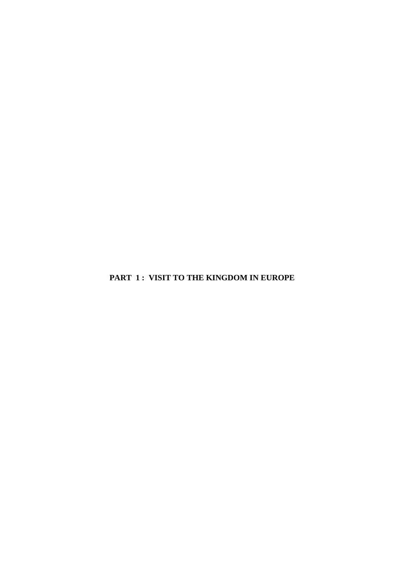**PART 1 : VISIT TO THE KINGDOM IN EUROPE**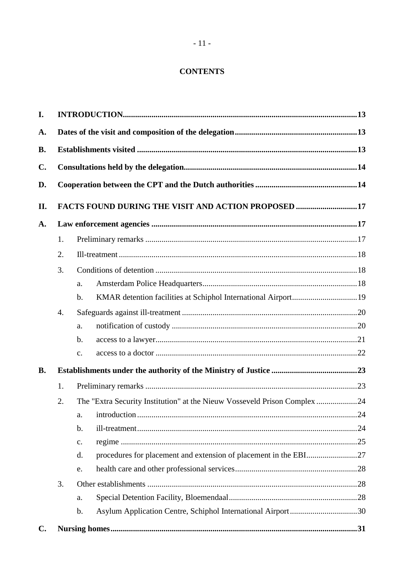# **CONTENTS**

| I.             |    |                                                                              |  |  |
|----------------|----|------------------------------------------------------------------------------|--|--|
| A.             |    |                                                                              |  |  |
| <b>B.</b>      |    |                                                                              |  |  |
| $\mathbf{C}$ . |    |                                                                              |  |  |
| D.             |    |                                                                              |  |  |
| II.            |    | FACTS FOUND DURING THE VISIT AND ACTION PROPOSED 17                          |  |  |
| A.             |    |                                                                              |  |  |
|                | 1. |                                                                              |  |  |
|                | 2. |                                                                              |  |  |
|                | 3. |                                                                              |  |  |
|                |    | a.                                                                           |  |  |
|                |    | $\mathbf b$ .                                                                |  |  |
|                | 4. |                                                                              |  |  |
|                |    | a.                                                                           |  |  |
|                |    | b.                                                                           |  |  |
|                |    | c.                                                                           |  |  |
| <b>B.</b>      |    |                                                                              |  |  |
|                | 1. |                                                                              |  |  |
|                | 2. | The "Extra Security Institution" at the Nieuw Vosseveld Prison Complex 24    |  |  |
|                |    | a.                                                                           |  |  |
|                |    | b.                                                                           |  |  |
|                |    | c.                                                                           |  |  |
|                |    | d.                                                                           |  |  |
|                |    | e.                                                                           |  |  |
|                | 3. |                                                                              |  |  |
|                |    | a.                                                                           |  |  |
|                |    | Asylum Application Centre, Schiphol International Airport30<br>$\mathbf b$ . |  |  |
| $\mathbf{C}$ . |    |                                                                              |  |  |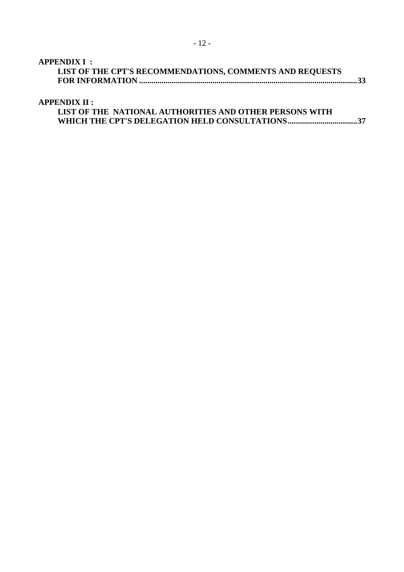# **[APPENDIX I :](#page-32-0)**

| .                                                        |  |
|----------------------------------------------------------|--|
| LIST OF THE CPT'S RECOMMENDATIONS, COMMENTS AND REQUESTS |  |
|                                                          |  |

# **[APPENDIX II :](#page-36-0)**

| LIST OF THE NATIONAL AUTHORITIES AND OTHER PERSONS WITH |
|---------------------------------------------------------|
|                                                         |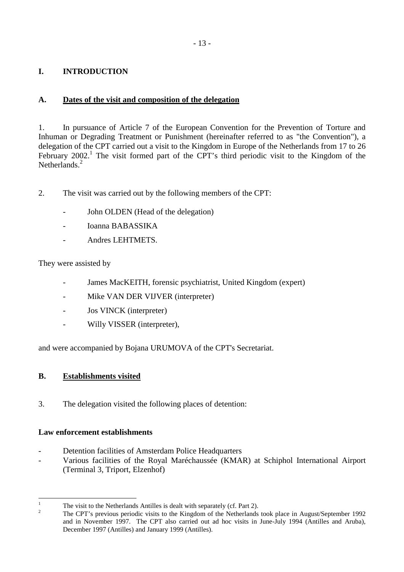# <span id="page-12-0"></span>**I. INTRODUCTION**

# **A. Dates of the visit and composition of the delegation**

1. In pursuance of Article 7 of the European Convention for the Prevention of Torture and Inhuman or Degrading Treatment or Punishment (hereinafter referred to as "the Convention"), a delegation of the CPT carried out a visit to the Kingdom in Europe of the Netherlands from 17 to 26 February  $2002$ .<sup>1</sup> The visit formed part of the CPT's third periodic visit to the Kingdom of the Netherlands<sup>2</sup>

- 2. The visit was carried out by the following members of the CPT:
	- John OLDEN (Head of the delegation)
	- Ioanna BABASSIKA
	- Andres LEHTMETS.

They were assisted by

- James MacKEITH, forensic psychiatrist, United Kingdom (expert)
- Mike VAN DER VIJVER (interpreter)
- Jos VINCK (interpreter)
- Willy VISSER (interpreter),

and were accompanied by Bojana URUMOVA of the CPT's Secretariat.

# **B. Establishments visited**

3. The delegation visited the following places of detention:

## **Law enforcement establishments**

- Detention facilities of Amsterdam Police Headquarters
- Various facilities of the Royal Maréchaussée (KMAR) at Schiphol International Airport (Terminal 3, Triport, Elzenhof)

 $\frac{1}{1}$ The visit to the Netherlands Antilles is dealt with separately (cf. Part 2).

 $\overline{2}$  The CPT's previous periodic visits to the Kingdom of the Netherlands took place in August/September 1992 and in November 1997. The CPT also carried out ad hoc visits in June-July 1994 (Antilles and Aruba), December 1997 (Antilles) and January 1999 (Antilles).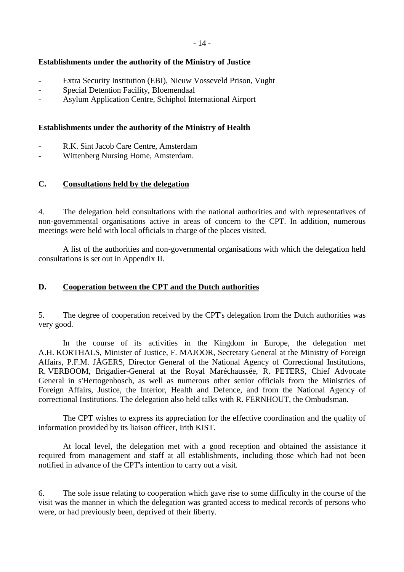### <span id="page-13-0"></span>**Establishments under the authority of the Ministry of Justice**

- Extra Security Institution (EBI), Nieuw Vosseveld Prison, Vught
- Special Detention Facility, Bloemendaal
- Asylum Application Centre, Schiphol International Airport

### **Establishments under the authority of the Ministry of Health**

- R.K. Sint Jacob Care Centre, Amsterdam
- Wittenberg Nursing Home, Amsterdam.

### **C. Consultations held by the delegation**

4. The delegation held consultations with the national authorities and with representatives of non-governmental organisations active in areas of concern to the CPT. In addition, numerous meetings were held with local officials in charge of the places visited.

 A list of the authorities and non-governmental organisations with which the delegation held consultations is set out in Appendix II.

### **D. Cooperation between the CPT and the Dutch authorities**

5. The degree of cooperation received by the CPT's delegation from the Dutch authorities was very good.

 In the course of its activities in the Kingdom in Europe, the delegation met A.H. KORTHALS, Minister of Justice, F. MAJOOR, Secretary General at the Ministry of Foreign Affairs, P.F.M. JÄGERS, Director General of the National Agency of Correctional Institutions, R. VERBOOM, Brigadier-General at the Royal Maréchaussée, R. PETERS, Chief Advocate General in s'Hertogenbosch, as well as numerous other senior officials from the Ministries of Foreign Affairs, Justice, the Interior, Health and Defence, and from the National Agency of correctional Institutions. The delegation also held talks with R. FERNHOUT, the Ombudsman.

 The CPT wishes to express its appreciation for the effective coordination and the quality of information provided by its liaison officer, Irith KIST.

 At local level, the delegation met with a good reception and obtained the assistance it required from management and staff at all establishments, including those which had not been notified in advance of the CPT's intention to carry out a visit.

6. The sole issue relating to cooperation which gave rise to some difficulty in the course of the visit was the manner in which the delegation was granted access to medical records of persons who were, or had previously been, deprived of their liberty.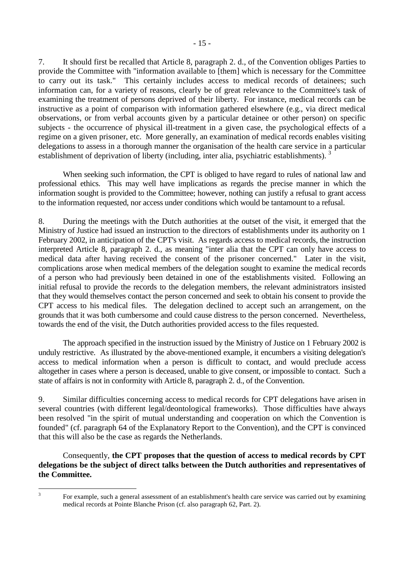7. It should first be recalled that Article 8, paragraph 2. d., of the Convention obliges Parties to provide the Committee with "information available to [them] which is necessary for the Committee to carry out its task." This certainly includes access to medical records of detainees; such information can, for a variety of reasons, clearly be of great relevance to the Committee's task of examining the treatment of persons deprived of their liberty. For instance, medical records can be instructive as a point of comparison with information gathered elsewhere (e.g., via direct medical observations, or from verbal accounts given by a particular detainee or other person) on specific subjects - the occurrence of physical ill-treatment in a given case, the psychological effects of a regime on a given prisoner, etc. More generally, an examination of medical records enables visiting delegations to assess in a thorough manner the organisation of the health care service in a particular establishment of deprivation of liberty (including, inter alia, psychiatric establishments).<sup>3</sup>

 When seeking such information, the CPT is obliged to have regard to rules of national law and professional ethics. This may well have implications as regards the precise manner in which the information sought is provided to the Committee; however, nothing can justify a refusal to grant access to the information requested, nor access under conditions which would be tantamount to a refusal.

8. During the meetings with the Dutch authorities at the outset of the visit, it emerged that the Ministry of Justice had issued an instruction to the directors of establishments under its authority on 1 February 2002, in anticipation of the CPT's visit. As regards access to medical records, the instruction interpreted Article 8, paragraph 2. d., as meaning "inter alia that the CPT can only have access to medical data after having received the consent of the prisoner concerned." Later in the visit, complications arose when medical members of the delegation sought to examine the medical records of a person who had previously been detained in one of the establishments visited. Following an initial refusal to provide the records to the delegation members, the relevant administrators insisted that they would themselves contact the person concerned and seek to obtain his consent to provide the CPT access to his medical files. The delegation declined to accept such an arrangement, on the grounds that it was both cumbersome and could cause distress to the person concerned. Nevertheless, towards the end of the visit, the Dutch authorities provided access to the files requested.

 The approach specified in the instruction issued by the Ministry of Justice on 1 February 2002 is unduly restrictive. As illustrated by the above-mentioned example, it encumbers a visiting delegation's access to medical information when a person is difficult to contact, and would preclude access altogether in cases where a person is deceased, unable to give consent, or impossible to contact. Such a state of affairs is not in conformity with Article 8, paragraph 2. d., of the Convention.

9. Similar difficulties concerning access to medical records for CPT delegations have arisen in several countries (with different legal/deontological frameworks). Those difficulties have always been resolved "in the spirit of mutual understanding and cooperation on which the Convention is founded" (cf. paragraph 64 of the Explanatory Report to the Convention), and the CPT is convinced that this will also be the case as regards the Netherlands.

 Consequently, **the CPT proposes that the question of access to medical records by CPT delegations be the subject of direct talks between the Dutch authorities and representatives of the Committee.** 

 $\frac{1}{3}$ 

For example, such a general assessment of an establishment's health care service was carried out by examining medical records at Pointe Blanche Prison (cf. also paragraph 62, Part. 2).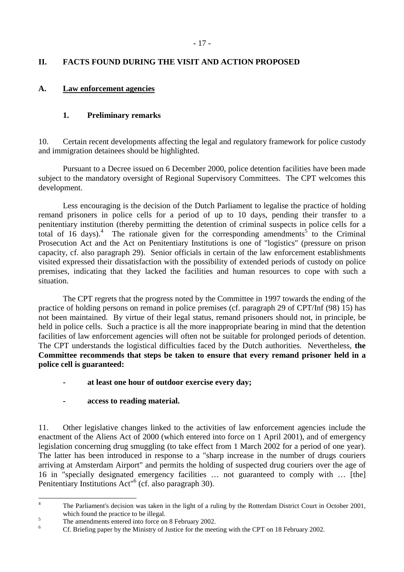# <span id="page-16-0"></span>**II. FACTS FOUND DURING THE VISIT AND ACTION PROPOSED**

## **A. Law enforcement agencies**

## **1. Preliminary remarks**

10. Certain recent developments affecting the legal and regulatory framework for police custody and immigration detainees should be highlighted.

 Pursuant to a Decree issued on 6 December 2000, police detention facilities have been made subject to the mandatory oversight of Regional Supervisory Committees. The CPT welcomes this development.

 Less encouraging is the decision of the Dutch Parliament to legalise the practice of holding remand prisoners in police cells for a period of up to 10 days, pending their transfer to a penitentiary institution (thereby permitting the detention of criminal suspects in police cells for a total of 16 days).<sup>4</sup> The rationale given for the corresponding amendments<sup>5</sup> to the Criminal Prosecution Act and the Act on Penitentiary Institutions is one of "logistics" (pressure on prison capacity, cf. also paragraph 29). Senior officials in certain of the law enforcement establishments visited expressed their dissatisfaction with the possibility of extended periods of custody on police premises, indicating that they lacked the facilities and human resources to cope with such a situation.

The CPT regrets that the progress noted by the Committee in 1997 towards the ending of the practice of holding persons on remand in police premises (cf. paragraph 29 of CPT/Inf (98) 15) has not been maintained. By virtue of their legal status, remand prisoners should not, in principle, be held in police cells. Such a practice is all the more inappropriate bearing in mind that the detention facilities of law enforcement agencies will often not be suitable for prolonged periods of detention. The CPT understands the logistical difficulties faced by the Dutch authorities. Nevertheless, **the Committee recommends that steps be taken to ensure that every remand prisoner held in a police cell is guaranteed:**

- at least one hour of outdoor exercise every day;
- access to reading material.

11. Other legislative changes linked to the activities of law enforcement agencies include the enactment of the Aliens Act of 2000 (which entered into force on 1 April 2001), and of emergency legislation concerning drug smuggling (to take effect from 1 March 2002 for a period of one year). The latter has been introduced in response to a "sharp increase in the number of drugs couriers arriving at Amsterdam Airport" and permits the holding of suspected drug couriers over the age of 16 in "specially designated emergency facilities … not guaranteed to comply with … [the] Penitentiary Institutions Act<sup>"6</sup> (cf. also paragraph 30).

 $\frac{1}{4}$  The Parliament's decision was taken in the light of a ruling by the Rotterdam District Court in October 2001, which found the practice to be illegal.

The amendments entered into force on 8 February 2002.

<sup>6</sup> Cf. Briefing paper by the Ministry of Justice for the meeting with the CPT on 18 February 2002.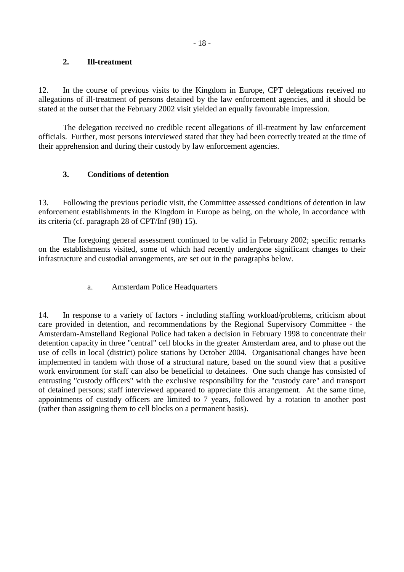### <span id="page-17-0"></span>**2. Ill-treatment**

12. In the course of previous visits to the Kingdom in Europe, CPT delegations received no allegations of ill-treatment of persons detained by the law enforcement agencies, and it should be stated at the outset that the February 2002 visit yielded an equally favourable impression.

 The delegation received no credible recent allegations of ill-treatment by law enforcement officials. Further, most persons interviewed stated that they had been correctly treated at the time of their apprehension and during their custody by law enforcement agencies.

## **3. Conditions of detention**

13. Following the previous periodic visit, the Committee assessed conditions of detention in law enforcement establishments in the Kingdom in Europe as being, on the whole, in accordance with its criteria (cf. paragraph 28 of CPT/Inf (98) 15).

 The foregoing general assessment continued to be valid in February 2002; specific remarks on the establishments visited, some of which had recently undergone significant changes to their infrastructure and custodial arrangements, are set out in the paragraphs below.

## a. Amsterdam Police Headquarters

14. In response to a variety of factors - including staffing workload/problems, criticism about care provided in detention, and recommendations by the Regional Supervisory Committee - the Amsterdam-Amstelland Regional Police had taken a decision in February 1998 to concentrate their detention capacity in three "central" cell blocks in the greater Amsterdam area, and to phase out the use of cells in local (district) police stations by October 2004. Organisational changes have been implemented in tandem with those of a structural nature, based on the sound view that a positive work environment for staff can also be beneficial to detainees. One such change has consisted of entrusting "custody officers" with the exclusive responsibility for the "custody care" and transport of detained persons; staff interviewed appeared to appreciate this arrangement. At the same time, appointments of custody officers are limited to 7 years, followed by a rotation to another post (rather than assigning them to cell blocks on a permanent basis).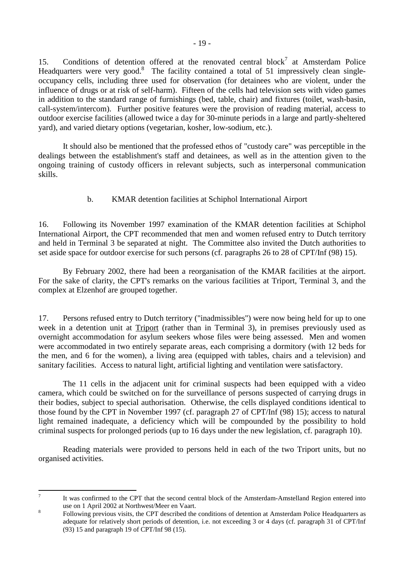<span id="page-18-0"></span>15. Conditions of detention offered at the renovated central block<sup>7</sup> at Amsterdam Police Headquarters were very good.<sup>8</sup> The facility contained a total of 51 impressively clean singleoccupancy cells, including three used for observation (for detainees who are violent, under the influence of drugs or at risk of self-harm). Fifteen of the cells had television sets with video games in addition to the standard range of furnishings (bed, table, chair) and fixtures (toilet, wash-basin, call-system/intercom). Further positive features were the provision of reading material, access to outdoor exercise facilities (allowed twice a day for 30-minute periods in a large and partly-sheltered yard), and varied dietary options (vegetarian, kosher, low-sodium, etc.).

 It should also be mentioned that the professed ethos of "custody care" was perceptible in the dealings between the establishment's staff and detainees, as well as in the attention given to the ongoing training of custody officers in relevant subjects, such as interpersonal communication skills.

# b. KMAR detention facilities at Schiphol International Airport

16. Following its November 1997 examination of the KMAR detention facilities at Schiphol International Airport, the CPT recommended that men and women refused entry to Dutch territory and held in Terminal 3 be separated at night. The Committee also invited the Dutch authorities to set aside space for outdoor exercise for such persons (cf. paragraphs 26 to 28 of CPT/Inf (98) 15).

 By February 2002, there had been a reorganisation of the KMAR facilities at the airport. For the sake of clarity, the CPT's remarks on the various facilities at Triport, Terminal 3, and the complex at Elzenhof are grouped together.

17. Persons refused entry to Dutch territory ("inadmissibles") were now being held for up to one week in a detention unit at Triport (rather than in Terminal 3), in premises previously used as overnight accommodation for asylum seekers whose files were being assessed. Men and women were accommodated in two entirely separate areas, each comprising a dormitory (with 12 beds for the men, and 6 for the women), a living area (equipped with tables, chairs and a television) and sanitary facilities. Access to natural light, artificial lighting and ventilation were satisfactory.

 The 11 cells in the adjacent unit for criminal suspects had been equipped with a video camera, which could be switched on for the surveillance of persons suspected of carrying drugs in their bodies, subject to special authorisation. Otherwise, the cells displayed conditions identical to those found by the CPT in November 1997 (cf. paragraph 27 of CPT/Inf (98) 15); access to natural light remained inadequate, a deficiency which will be compounded by the possibility to hold criminal suspects for prolonged periods (up to 16 days under the new legislation, cf. paragraph 10).

 Reading materials were provided to persons held in each of the two Triport units, but no organised activities.

<sup>-&</sup>lt;br>7

It was confirmed to the CPT that the second central block of the Amsterdam-Amstelland Region entered into use on 1 April 2002 at Northwest/Meer en Vaart.

Following previous visits, the CPT described the conditions of detention at Amsterdam Police Headquarters as adequate for relatively short periods of detention, i.e. not exceeding 3 or 4 days (cf. paragraph 31 of CPT/Inf (93) 15 and paragraph 19 of CPT/Inf 98 (15).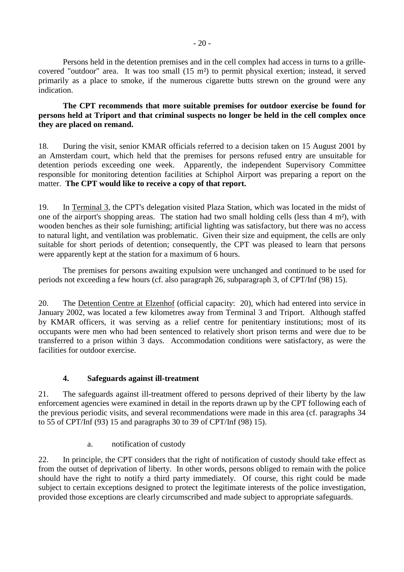<span id="page-19-0"></span> Persons held in the detention premises and in the cell complex had access in turns to a grillecovered "outdoor" area. It was too small (15 m²) to permit physical exertion; instead, it served primarily as a place to smoke, if the numerous cigarette butts strewn on the ground were any indication.

**The CPT recommends that more suitable premises for outdoor exercise be found for persons held at Triport and that criminal suspects no longer be held in the cell complex once they are placed on remand.**

18. During the visit, senior KMAR officials referred to a decision taken on 15 August 2001 by an Amsterdam court, which held that the premises for persons refused entry are unsuitable for detention periods exceeding one week. Apparently, the independent Supervisory Committee responsible for monitoring detention facilities at Schiphol Airport was preparing a report on the matter. **The CPT would like to receive a copy of that report.** 

19. In Terminal 3, the CPT's delegation visited Plaza Station, which was located in the midst of one of the airport's shopping areas. The station had two small holding cells (less than 4 m²), with wooden benches as their sole furnishing; artificial lighting was satisfactory, but there was no access to natural light, and ventilation was problematic. Given their size and equipment, the cells are only suitable for short periods of detention; consequently, the CPT was pleased to learn that persons were apparently kept at the station for a maximum of 6 hours.

 The premises for persons awaiting expulsion were unchanged and continued to be used for periods not exceeding a few hours (cf. also paragraph 26, subparagraph 3, of CPT/Inf (98) 15).

20. The Detention Centre at Elzenhof (official capacity: 20), which had entered into service in January 2002, was located a few kilometres away from Terminal 3 and Triport. Although staffed by KMAR officers, it was serving as a relief centre for penitentiary institutions; most of its occupants were men who had been sentenced to relatively short prison terms and were due to be transferred to a prison within 3 days. Accommodation conditions were satisfactory, as were the facilities for outdoor exercise.

## **4. Safeguards against ill-treatment**

21. The safeguards against ill-treatment offered to persons deprived of their liberty by the law enforcement agencies were examined in detail in the reports drawn up by the CPT following each of the previous periodic visits, and several recommendations were made in this area (cf. paragraphs 34 to 55 of CPT/Inf (93) 15 and paragraphs 30 to 39 of CPT/Inf (98) 15).

a. notification of custody

22. In principle, the CPT considers that the right of notification of custody should take effect as from the outset of deprivation of liberty. In other words, persons obliged to remain with the police should have the right to notify a third party immediately. Of course, this right could be made subject to certain exceptions designed to protect the legitimate interests of the police investigation, provided those exceptions are clearly circumscribed and made subject to appropriate safeguards.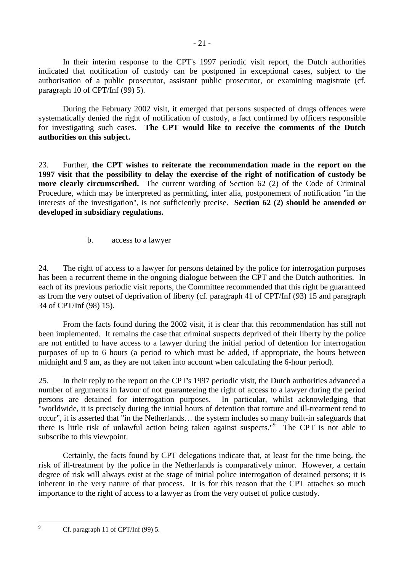<span id="page-20-0"></span> In their interim response to the CPT's 1997 periodic visit report, the Dutch authorities indicated that notification of custody can be postponed in exceptional cases, subject to the authorisation of a public prosecutor, assistant public prosecutor, or examining magistrate (cf. paragraph 10 of CPT/Inf (99) 5).

 During the February 2002 visit, it emerged that persons suspected of drugs offences were systematically denied the right of notification of custody, a fact confirmed by officers responsible for investigating such cases. **The CPT would like to receive the comments of the Dutch authorities on this subject.**

23. Further, **the CPT wishes to reiterate the recommendation made in the report on the 1997 visit that the possibility to delay the exercise of the right of notification of custody be more clearly circumscribed.** The current wording of Section 62 (2) of the Code of Criminal Procedure, which may be interpreted as permitting, inter alia, postponement of notification "in the interests of the investigation", is not sufficiently precise. **Section 62 (2) should be amended or developed in subsidiary regulations.** 

b. access to a lawyer

24. The right of access to a lawyer for persons detained by the police for interrogation purposes has been a recurrent theme in the ongoing dialogue between the CPT and the Dutch authorities. In each of its previous periodic visit reports, the Committee recommended that this right be guaranteed as from the very outset of deprivation of liberty (cf. paragraph 41 of CPT/Inf (93) 15 and paragraph 34 of CPT/Inf (98) 15).

 From the facts found during the 2002 visit, it is clear that this recommendation has still not been implemented. It remains the case that criminal suspects deprived of their liberty by the police are not entitled to have access to a lawyer during the initial period of detention for interrogation purposes of up to 6 hours (a period to which must be added, if appropriate, the hours between midnight and 9 am, as they are not taken into account when calculating the 6-hour period).

25. In their reply to the report on the CPT's 1997 periodic visit, the Dutch authorities advanced a number of arguments in favour of not guaranteeing the right of access to a lawyer during the period persons are detained for interrogation purposes. In particular, whilst acknowledging that "worldwide, it is precisely during the initial hours of detention that torture and ill-treatment tend to occur", it is asserted that "in the Netherlands… the system includes so many built-in safeguards that there is little risk of unlawful action being taken against suspects."<sup>9</sup> The CPT is not able to subscribe to this viewpoint.

 Certainly, the facts found by CPT delegations indicate that, at least for the time being, the risk of ill-treatment by the police in the Netherlands is comparatively minor. However, a certain degree of risk will always exist at the stage of initial police interrogation of detained persons; it is inherent in the very nature of that process. It is for this reason that the CPT attaches so much importance to the right of access to a lawyer as from the very outset of police custody.

-<br>9

Cf. paragraph 11 of CPT/Inf (99) 5.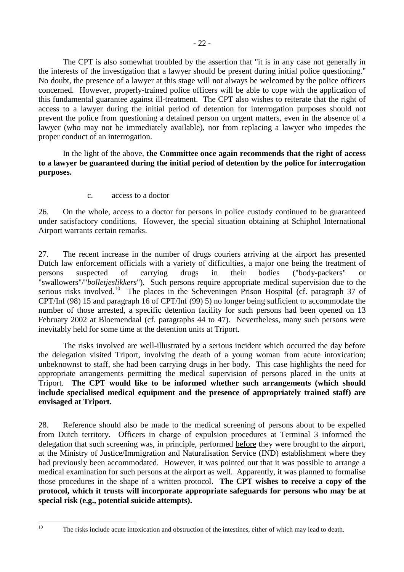<span id="page-21-0"></span> The CPT is also somewhat troubled by the assertion that "it is in any case not generally in the interests of the investigation that a lawyer should be present during initial police questioning." No doubt, the presence of a lawyer at this stage will not always be welcomed by the police officers concerned. However, properly-trained police officers will be able to cope with the application of this fundamental guarantee against ill-treatment. The CPT also wishes to reiterate that the right of access to a lawyer during the initial period of detention for interrogation purposes should not prevent the police from questioning a detained person on urgent matters, even in the absence of a lawyer (who may not be immediately available), nor from replacing a lawyer who impedes the proper conduct of an interrogation.

 In the light of the above, **the Committee once again recommends that the right of access to a lawyer be guaranteed during the initial period of detention by the police for interrogation purposes.**

c. access to a doctor

26. On the whole, access to a doctor for persons in police custody continued to be guaranteed under satisfactory conditions. However, the special situation obtaining at Schiphol International Airport warrants certain remarks.

27. The recent increase in the number of drugs couriers arriving at the airport has presented Dutch law enforcement officials with a variety of difficulties, a major one being the treatment of persons suspected of carrying drugs in their bodies ("body-packers" or "swallowers"/"*bolletjeslikkers*"). Such persons require appropriate medical supervision due to the serious risks involved.<sup>10</sup> The places in the Scheveningen Prison Hospital (cf. paragraph 37 of CPT/Inf (98) 15 and paragraph 16 of CPT/Inf (99) 5) no longer being sufficient to accommodate the number of those arrested, a specific detention facility for such persons had been opened on 13 February 2002 at Bloemendaal (cf. paragraphs 44 to 47). Nevertheless, many such persons were inevitably held for some time at the detention units at Triport.

 The risks involved are well-illustrated by a serious incident which occurred the day before the delegation visited Triport, involving the death of a young woman from acute intoxication; unbeknownst to staff, she had been carrying drugs in her body. This case highlights the need for appropriate arrangements permitting the medical supervision of persons placed in the units at Triport. **The CPT would like to be informed whether such arrangements (which should include specialised medical equipment and the presence of appropriately trained staff) are envisaged at Triport.**

28. Reference should also be made to the medical screening of persons about to be expelled from Dutch territory. Officers in charge of expulsion procedures at Terminal 3 informed the delegation that such screening was, in principle, performed before they were brought to the airport, at the Ministry of Justice/Immigration and Naturalisation Service (IND) establishment where they had previously been accommodated. However, it was pointed out that it was possible to arrange a medical examination for such persons at the airport as well. Apparently, it was planned to formalise those procedures in the shape of a written protocol. **The CPT wishes to receive a copy of the protocol, which it trusts will incorporate appropriate safeguards for persons who may be at special risk (e.g., potential suicide attempts).** 

 $10$ 

The risks include acute intoxication and obstruction of the intestines, either of which may lead to death.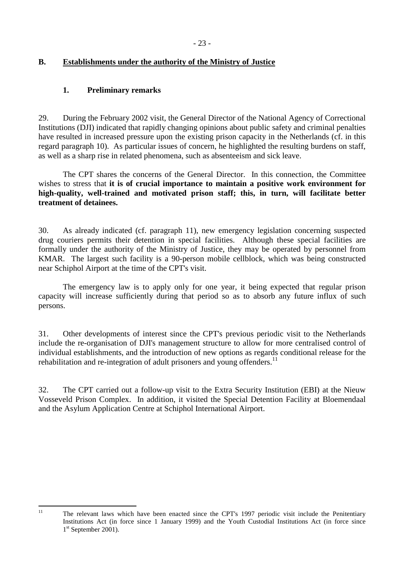# <span id="page-22-0"></span>**B. Establishments under the authority of the Ministry of Justice**

## **1. Preliminary remarks**

29. During the February 2002 visit, the General Director of the National Agency of Correctional Institutions (DJI) indicated that rapidly changing opinions about public safety and criminal penalties have resulted in increased pressure upon the existing prison capacity in the Netherlands (cf. in this regard paragraph 10). As particular issues of concern, he highlighted the resulting burdens on staff, as well as a sharp rise in related phenomena, such as absenteeism and sick leave.

 The CPT shares the concerns of the General Director. In this connection, the Committee wishes to stress that **it is of crucial importance to maintain a positive work environment for high-quality, well-trained and motivated prison staff; this, in turn, will facilitate better treatment of detainees.**

30. As already indicated (cf. paragraph 11), new emergency legislation concerning suspected drug couriers permits their detention in special facilities. Although these special facilities are formally under the authority of the Ministry of Justice, they may be operated by personnel from KMAR. The largest such facility is a 90-person mobile cellblock, which was being constructed near Schiphol Airport at the time of the CPT's visit.

 The emergency law is to apply only for one year, it being expected that regular prison capacity will increase sufficiently during that period so as to absorb any future influx of such persons.

31. Other developments of interest since the CPT's previous periodic visit to the Netherlands include the re-organisation of DJI's management structure to allow for more centralised control of individual establishments, and the introduction of new options as regards conditional release for the rehabilitation and re-integration of adult prisoners and young offenders.<sup>11</sup>

32. The CPT carried out a follow-up visit to the Extra Security Institution (EBI) at the Nieuw Vosseveld Prison Complex. In addition, it visited the Special Detention Facility at Bloemendaal and the Asylum Application Centre at Schiphol International Airport.

 $11$ 

The relevant laws which have been enacted since the CPT's 1997 periodic visit include the Penitentiary Institutions Act (in force since 1 January 1999) and the Youth Custodial Institutions Act (in force since 1<sup>st</sup> September 2001).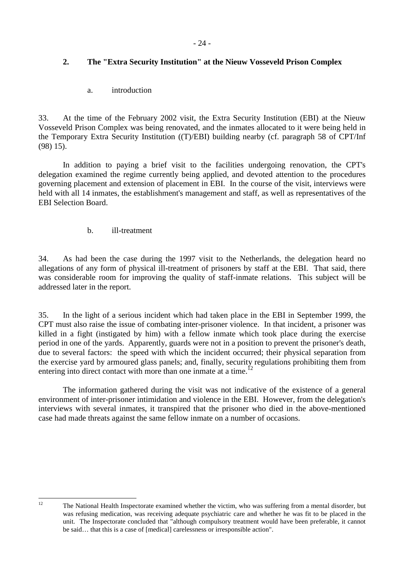# <span id="page-23-0"></span>**2. The "Extra Security Institution" at the Nieuw Vosseveld Prison Complex**

a. introduction

33. At the time of the February 2002 visit, the Extra Security Institution (EBI) at the Nieuw Vosseveld Prison Complex was being renovated, and the inmates allocated to it were being held in the Temporary Extra Security Institution ((T)/EBI) building nearby (cf. paragraph 58 of CPT/Inf (98) 15).

 In addition to paying a brief visit to the facilities undergoing renovation, the CPT's delegation examined the regime currently being applied, and devoted attention to the procedures governing placement and extension of placement in EBI. In the course of the visit, interviews were held with all 14 inmates, the establishment's management and staff, as well as representatives of the EBI Selection Board.

## b. ill-treatment

34. As had been the case during the 1997 visit to the Netherlands, the delegation heard no allegations of any form of physical ill-treatment of prisoners by staff at the EBI. That said, there was considerable room for improving the quality of staff-inmate relations. This subject will be addressed later in the report.

35. In the light of a serious incident which had taken place in the EBI in September 1999, the CPT must also raise the issue of combating inter-prisoner violence. In that incident, a prisoner was killed in a fight (instigated by him) with a fellow inmate which took place during the exercise period in one of the yards. Apparently, guards were not in a position to prevent the prisoner's death, due to several factors: the speed with which the incident occurred; their physical separation from the exercise yard by armoured glass panels; and, finally, security regulations prohibiting them from entering into direct contact with more than one inmate at a time.<sup>12</sup>

 The information gathered during the visit was not indicative of the existence of a general environment of inter-prisoner intimidation and violence in the EBI. However, from the delegation's interviews with several inmates, it transpired that the prisoner who died in the above-mentioned case had made threats against the same fellow inmate on a number of occasions.

 $12$ 

<sup>12</sup> The National Health Inspectorate examined whether the victim, who was suffering from a mental disorder, but was refusing medication, was receiving adequate psychiatric care and whether he was fit to be placed in the unit. The Inspectorate concluded that "although compulsory treatment would have been preferable, it cannot be said… that this is a case of [medical] carelessness or irresponsible action".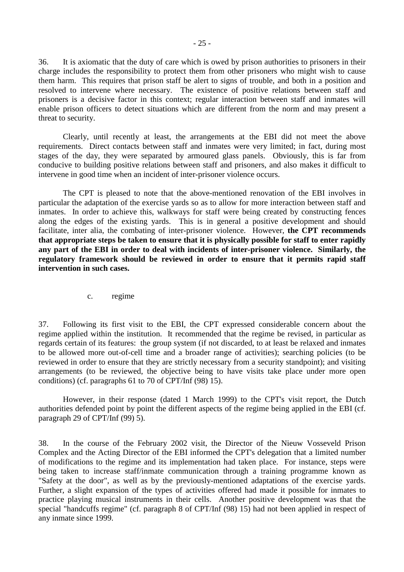<span id="page-24-0"></span>36. It is axiomatic that the duty of care which is owed by prison authorities to prisoners in their charge includes the responsibility to protect them from other prisoners who might wish to cause them harm. This requires that prison staff be alert to signs of trouble, and both in a position and resolved to intervene where necessary. The existence of positive relations between staff and prisoners is a decisive factor in this context; regular interaction between staff and inmates will enable prison officers to detect situations which are different from the norm and may present a threat to security.

 Clearly, until recently at least, the arrangements at the EBI did not meet the above requirements. Direct contacts between staff and inmates were very limited; in fact, during most stages of the day, they were separated by armoured glass panels. Obviously, this is far from conducive to building positive relations between staff and prisoners, and also makes it difficult to intervene in good time when an incident of inter-prisoner violence occurs.

 The CPT is pleased to note that the above-mentioned renovation of the EBI involves in particular the adaptation of the exercise yards so as to allow for more interaction between staff and inmates. In order to achieve this, walkways for staff were being created by constructing fences along the edges of the existing yards. This is in general a positive development and should facilitate, inter alia, the combating of inter-prisoner violence. However, **the CPT recommends that appropriate steps be taken to ensure that it is physically possible for staff to enter rapidly any part of the EBI in order to deal with incidents of inter-prisoner violence. Similarly, the regulatory framework should be reviewed in order to ensure that it permits rapid staff intervention in such cases.** 

c. regime

37. Following its first visit to the EBI, the CPT expressed considerable concern about the regime applied within the institution. It recommended that the regime be revised, in particular as regards certain of its features: the group system (if not discarded, to at least be relaxed and inmates to be allowed more out-of-cell time and a broader range of activities); searching policies (to be reviewed in order to ensure that they are strictly necessary from a security standpoint); and visiting arrangements (to be reviewed, the objective being to have visits take place under more open conditions) (cf. paragraphs 61 to 70 of CPT/Inf (98) 15).

 However, in their response (dated 1 March 1999) to the CPT's visit report, the Dutch authorities defended point by point the different aspects of the regime being applied in the EBI (cf. paragraph 29 of CPT/Inf (99) 5).

38. In the course of the February 2002 visit, the Director of the Nieuw Vosseveld Prison Complex and the Acting Director of the EBI informed the CPT's delegation that a limited number of modifications to the regime and its implementation had taken place. For instance, steps were being taken to increase staff/inmate communication through a training programme known as "Safety at the door", as well as by the previously-mentioned adaptations of the exercise yards. Further, a slight expansion of the types of activities offered had made it possible for inmates to practice playing musical instruments in their cells. Another positive development was that the special "handcuffs regime" (cf. paragraph 8 of CPT/Inf (98) 15) had not been applied in respect of any inmate since 1999.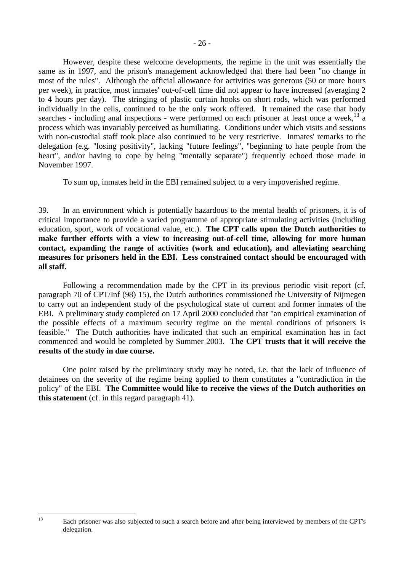However, despite these welcome developments, the regime in the unit was essentially the same as in 1997, and the prison's management acknowledged that there had been "no change in most of the rules". Although the official allowance for activities was generous (50 or more hours per week), in practice, most inmates' out-of-cell time did not appear to have increased (averaging 2 to 4 hours per day). The stringing of plastic curtain hooks on short rods, which was performed individually in the cells, continued to be the only work offered. It remained the case that body searches - including anal inspections - were performed on each prisoner at least once a week.<sup>13</sup> a process which was invariably perceived as humiliating. Conditions under which visits and sessions with non-custodial staff took place also continued to be very restrictive. Inmates' remarks to the delegation (e.g. "losing positivity", lacking "future feelings", "beginning to hate people from the heart", and/or having to cope by being "mentally separate") frequently echoed those made in November 1997.

To sum up, inmates held in the EBI remained subject to a very impoverished regime.

39. In an environment which is potentially hazardous to the mental health of prisoners, it is of critical importance to provide a varied programme of appropriate stimulating activities (including education, sport, work of vocational value, etc.). **The CPT calls upon the Dutch authorities to make further efforts with a view to increasing out-of-cell time, allowing for more human contact, expanding the range of activities (work and education), and alleviating searching measures for prisoners held in the EBI. Less constrained contact should be encouraged with all staff.** 

 Following a recommendation made by the CPT in its previous periodic visit report (cf. paragraph 70 of CPT/Inf (98) 15), the Dutch authorities commissioned the University of Nijmegen to carry out an independent study of the psychological state of current and former inmates of the EBI. A preliminary study completed on 17 April 2000 concluded that "an empirical examination of the possible effects of a maximum security regime on the mental conditions of prisoners is feasible." The Dutch authorities have indicated that such an empirical examination has in fact commenced and would be completed by Summer 2003. **The CPT trusts that it will receive the results of the study in due course.**

 One point raised by the preliminary study may be noted, i.e. that the lack of influence of detainees on the severity of the regime being applied to them constitutes a "contradiction in the policy" of the EBI. **The Committee would like to receive the views of the Dutch authorities on this statement** (cf. in this regard paragraph 41).

 $13$ 

Each prisoner was also subjected to such a search before and after being interviewed by members of the CPT's delegation.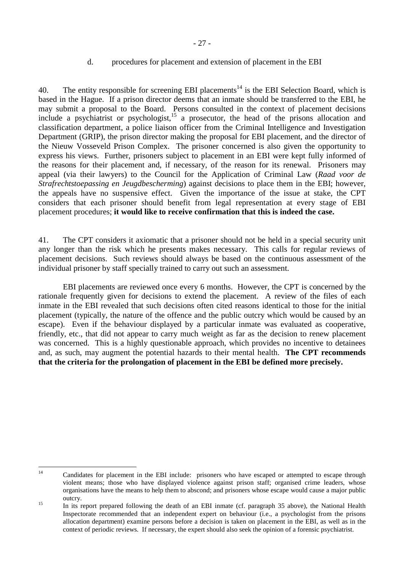### d. procedures for placement and extension of placement in the EBI

<span id="page-26-0"></span>40. The entity responsible for screening EBI placements<sup>14</sup> is the EBI Selection Board, which is based in the Hague. If a prison director deems that an inmate should be transferred to the EBI, he may submit a proposal to the Board. Persons consulted in the context of placement decisions include a psychiatrist or psychologist,<sup>15</sup> a prosecutor, the head of the prisons allocation and classification department, a police liaison officer from the Criminal Intelligence and Investigation Department (GRIP), the prison director making the proposal for EBI placement, and the director of the Nieuw Vosseveld Prison Complex. The prisoner concerned is also given the opportunity to express his views. Further, prisoners subject to placement in an EBI were kept fully informed of the reasons for their placement and, if necessary, of the reason for its renewal. Prisoners may appeal (via their lawyers) to the Council for the Application of Criminal Law (*Raad voor de Strafrechtstoepassing en Jeugdbescherming*) against decisions to place them in the EBI; however, the appeals have no suspensive effect. Given the importance of the issue at stake, the CPT considers that each prisoner should benefit from legal representation at every stage of EBI placement procedures; **it would like to receive confirmation that this is indeed the case.** 

41. The CPT considers it axiomatic that a prisoner should not be held in a special security unit any longer than the risk which he presents makes necessary. This calls for regular reviews of placement decisions. Such reviews should always be based on the continuous assessment of the individual prisoner by staff specially trained to carry out such an assessment.

EBI placements are reviewed once every 6 months. However, the CPT is concerned by the rationale frequently given for decisions to extend the placement. A review of the files of each inmate in the EBI revealed that such decisions often cited reasons identical to those for the initial placement (typically, the nature of the offence and the public outcry which would be caused by an escape). Even if the behaviour displayed by a particular inmate was evaluated as cooperative, friendly, etc., that did not appear to carry much weight as far as the decision to renew placement was concerned. This is a highly questionable approach, which provides no incentive to detainees and, as such, may augment the potential hazards to their mental health. **The CPT recommends that the criteria for the prolongation of placement in the EBI be defined more precisely.** 

 $14$ 

Candidates for placement in the EBI include: prisoners who have escaped or attempted to escape through violent means; those who have displayed violence against prison staff; organised crime leaders, whose organisations have the means to help them to abscond; and prisoners whose escape would cause a major public

outcry. 15 In its report prepared following the death of an EBI inmate (cf. paragraph 35 above), the National Health Inspectorate recommended that an independent expert on behaviour (i.e., a psychologist from the prisons allocation department) examine persons before a decision is taken on placement in the EBI, as well as in the context of periodic reviews. If necessary, the expert should also seek the opinion of a forensic psychiatrist.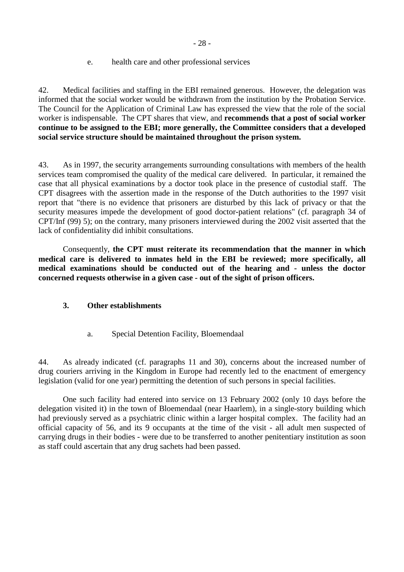### e. health care and other professional services

<span id="page-27-0"></span>42. Medical facilities and staffing in the EBI remained generous. However, the delegation was informed that the social worker would be withdrawn from the institution by the Probation Service. The Council for the Application of Criminal Law has expressed the view that the role of the social worker is indispensable. The CPT shares that view, and **recommends that a post of social worker continue to be assigned to the EBI; more generally, the Committee considers that a developed social service structure should be maintained throughout the prison system.** 

43. As in 1997, the security arrangements surrounding consultations with members of the health services team compromised the quality of the medical care delivered. In particular, it remained the case that all physical examinations by a doctor took place in the presence of custodial staff. The CPT disagrees with the assertion made in the response of the Dutch authorities to the 1997 visit report that "there is no evidence that prisoners are disturbed by this lack of privacy or that the security measures impede the development of good doctor-patient relations" (cf. paragraph 34 of CPT/Inf (99) 5); on the contrary, many prisoners interviewed during the 2002 visit asserted that the lack of confidentiality did inhibit consultations.

 Consequently, **the CPT must reiterate its recommendation that the manner in which medical care is delivered to inmates held in the EBI be reviewed; more specifically, all medical examinations should be conducted out of the hearing and - unless the doctor concerned requests otherwise in a given case - out of the sight of prison officers.** 

## **3. Other establishments**

a. Special Detention Facility, Bloemendaal

44. As already indicated (cf. paragraphs 11 and 30), concerns about the increased number of drug couriers arriving in the Kingdom in Europe had recently led to the enactment of emergency legislation (valid for one year) permitting the detention of such persons in special facilities.

 One such facility had entered into service on 13 February 2002 (only 10 days before the delegation visited it) in the town of Bloemendaal (near Haarlem), in a single-story building which had previously served as a psychiatric clinic within a larger hospital complex. The facility had an official capacity of 56, and its 9 occupants at the time of the visit - all adult men suspected of carrying drugs in their bodies - were due to be transferred to another penitentiary institution as soon as staff could ascertain that any drug sachets had been passed.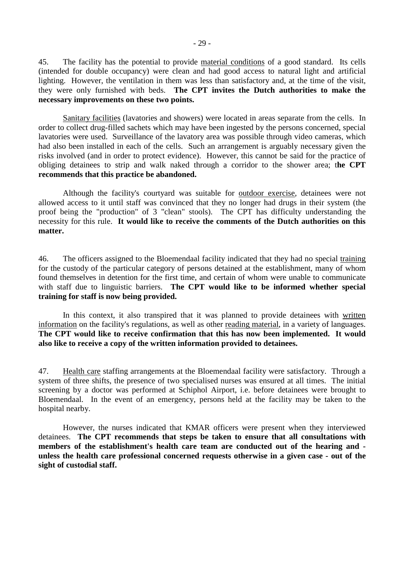45. The facility has the potential to provide material conditions of a good standard. Its cells (intended for double occupancy) were clean and had good access to natural light and artificial lighting. However, the ventilation in them was less than satisfactory and, at the time of the visit, they were only furnished with beds. **The CPT invites the Dutch authorities to make the necessary improvements on these two points.** 

 Sanitary facilities (lavatories and showers) were located in areas separate from the cells. In order to collect drug-filled sachets which may have been ingested by the persons concerned, special lavatories were used. Surveillance of the lavatory area was possible through video cameras, which had also been installed in each of the cells. Such an arrangement is arguably necessary given the risks involved (and in order to protect evidence). However, this cannot be said for the practice of obliging detainees to strip and walk naked through a corridor to the shower area; t**he CPT recommends that this practice be abandoned.** 

 Although the facility's courtyard was suitable for outdoor exercise, detainees were not allowed access to it until staff was convinced that they no longer had drugs in their system (the proof being the "production" of 3 "clean" stools). The CPT has difficulty understanding the necessity for this rule. **It would like to receive the comments of the Dutch authorities on this matter.**

46. The officers assigned to the Bloemendaal facility indicated that they had no special training for the custody of the particular category of persons detained at the establishment, many of whom found themselves in detention for the first time, and certain of whom were unable to communicate with staff due to linguistic barriers. **The CPT would like to be informed whether special training for staff is now being provided.** 

In this context, it also transpired that it was planned to provide detainees with written information on the facility's regulations, as well as other reading material, in a variety of languages. **The CPT would like to receive confirmation that this has now been implemented. It would also like to receive a copy of the written information provided to detainees.** 

47. Health care staffing arrangements at the Bloemendaal facility were satisfactory. Through a system of three shifts, the presence of two specialised nurses was ensured at all times. The initial screening by a doctor was performed at Schiphol Airport, i.e. before detainees were brought to Bloemendaal. In the event of an emergency, persons held at the facility may be taken to the hospital nearby.

 However, the nurses indicated that KMAR officers were present when they interviewed detainees. **The CPT recommends that steps be taken to ensure that all consultations with members of the establishment's health care team are conducted out of the hearing and unless the health care professional concerned requests otherwise in a given case - out of the sight of custodial staff.**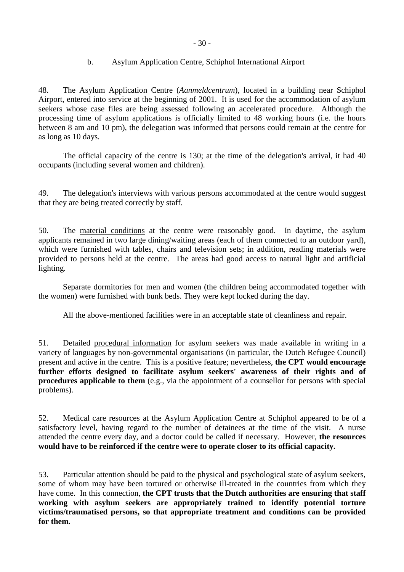### b. Asylum Application Centre, Schiphol International Airport

<span id="page-29-0"></span>48. The Asylum Application Centre (*Aanmeldcentrum*), located in a building near Schiphol Airport, entered into service at the beginning of 2001. It is used for the accommodation of asylum seekers whose case files are being assessed following an accelerated procedure. Although the processing time of asylum applications is officially limited to 48 working hours (i.e. the hours between 8 am and 10 pm), the delegation was informed that persons could remain at the centre for as long as 10 days.

 The official capacity of the centre is 130; at the time of the delegation's arrival, it had 40 occupants (including several women and children).

49. The delegation's interviews with various persons accommodated at the centre would suggest that they are being treated correctly by staff.

50. The material conditions at the centre were reasonably good. In daytime, the asylum applicants remained in two large dining/waiting areas (each of them connected to an outdoor yard), which were furnished with tables, chairs and television sets; in addition, reading materials were provided to persons held at the centre. The areas had good access to natural light and artificial lighting.

 Separate dormitories for men and women (the children being accommodated together with the women) were furnished with bunk beds. They were kept locked during the day.

All the above-mentioned facilities were in an acceptable state of cleanliness and repair.

51. Detailed procedural information for asylum seekers was made available in writing in a variety of languages by non-governmental organisations (in particular, the Dutch Refugee Council) present and active in the centre. This is a positive feature; nevertheless, **the CPT would encourage further efforts designed to facilitate asylum seekers' awareness of their rights and of procedures applicable to them** (e.g., via the appointment of a counsellor for persons with special problems).

52. Medical care resources at the Asylum Application Centre at Schiphol appeared to be of a satisfactory level, having regard to the number of detainees at the time of the visit. A nurse attended the centre every day, and a doctor could be called if necessary. However, **the resources would have to be reinforced if the centre were to operate closer to its official capacity.**

53. Particular attention should be paid to the physical and psychological state of asylum seekers, some of whom may have been tortured or otherwise ill-treated in the countries from which they have come. In this connection, **the CPT trusts that the Dutch authorities are ensuring that staff working with asylum seekers are appropriately trained to identify potential torture victims/traumatised persons, so that appropriate treatment and conditions can be provided for them.**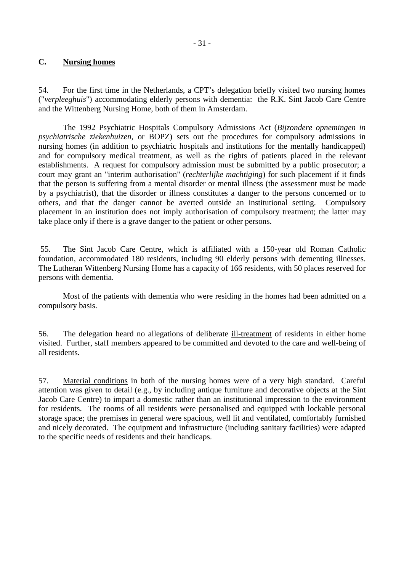### <span id="page-30-0"></span>**C. Nursing homes**

54. For the first time in the Netherlands, a CPT's delegation briefly visited two nursing homes ("*verpleeghuis*") accommodating elderly persons with dementia: the R.K. Sint Jacob Care Centre and the Wittenberg Nursing Home, both of them in Amsterdam.

 The 1992 Psychiatric Hospitals Compulsory Admissions Act (*Bijzondere opnemingen in psychiatrische ziekenhuizen*, or BOPZ) sets out the procedures for compulsory admissions in nursing homes (in addition to psychiatric hospitals and institutions for the mentally handicapped) and for compulsory medical treatment, as well as the rights of patients placed in the relevant establishments. A request for compulsory admission must be submitted by a public prosecutor; a court may grant an "interim authorisation" (*rechterlijke machtiging*) for such placement if it finds that the person is suffering from a mental disorder or mental illness (the assessment must be made by a psychiatrist), that the disorder or illness constitutes a danger to the persons concerned or to others, and that the danger cannot be averted outside an institutional setting. Compulsory placement in an institution does not imply authorisation of compulsory treatment; the latter may take place only if there is a grave danger to the patient or other persons.

 55. The Sint Jacob Care Centre, which is affiliated with a 150-year old Roman Catholic foundation, accommodated 180 residents, including 90 elderly persons with dementing illnesses. The Lutheran Wittenberg Nursing Home has a capacity of 166 residents, with 50 places reserved for persons with dementia.

 Most of the patients with dementia who were residing in the homes had been admitted on a compulsory basis.

56. The delegation heard no allegations of deliberate ill-treatment of residents in either home visited. Further, staff members appeared to be committed and devoted to the care and well-being of all residents.

57. Material conditions in both of the nursing homes were of a very high standard. Careful attention was given to detail (e.g., by including antique furniture and decorative objects at the Sint Jacob Care Centre) to impart a domestic rather than an institutional impression to the environment for residents. The rooms of all residents were personalised and equipped with lockable personal storage space; the premises in general were spacious, well lit and ventilated, comfortably furnished and nicely decorated. The equipment and infrastructure (including sanitary facilities) were adapted to the specific needs of residents and their handicaps.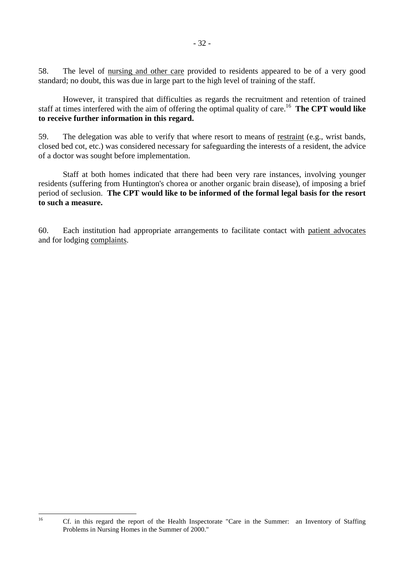58. The level of nursing and other care provided to residents appeared to be of a very good standard; no doubt, this was due in large part to the high level of training of the staff.

 However, it transpired that difficulties as regards the recruitment and retention of trained staff at times interfered with the aim of offering the optimal quality of care.16 **The CPT would like to receive further information in this regard.** 

59. The delegation was able to verify that where resort to means of restraint (e.g., wrist bands, closed bed cot, etc.) was considered necessary for safeguarding the interests of a resident, the advice of a doctor was sought before implementation.

 Staff at both homes indicated that there had been very rare instances, involving younger residents (suffering from Huntington's chorea or another organic brain disease), of imposing a brief period of seclusion. **The CPT would like to be informed of the formal legal basis for the resort to such a measure.** 

60. Each institution had appropriate arrangements to facilitate contact with patient advocates and for lodging complaints.

 $16$ 

Cf. in this regard the report of the Health Inspectorate "Care in the Summer: an Inventory of Staffing Problems in Nursing Homes in the Summer of 2000."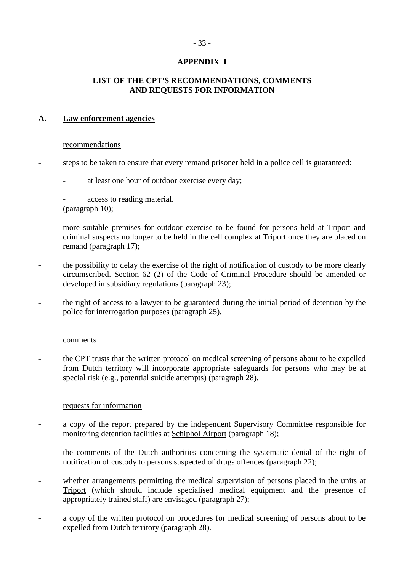# **APPENDIX I**

## <span id="page-32-0"></span>**LIST OF THE CPT'S RECOMMENDATIONS, COMMENTS AND REQUESTS FOR INFORMATION**

### **A. Law enforcement agencies**

#### recommendations

- steps to be taken to ensure that every remand prisoner held in a police cell is guaranteed:
	- at least one hour of outdoor exercise every day;

access to reading material. (paragraph 10);

- more suitable premises for outdoor exercise to be found for persons held at Triport and criminal suspects no longer to be held in the cell complex at Triport once they are placed on remand (paragraph 17);
- the possibility to delay the exercise of the right of notification of custody to be more clearly circumscribed. Section 62 (2) of the Code of Criminal Procedure should be amended or developed in subsidiary regulations (paragraph 23);
- the right of access to a lawyer to be guaranteed during the initial period of detention by the police for interrogation purposes (paragraph 25).

#### comments

- the CPT trusts that the written protocol on medical screening of persons about to be expelled from Dutch territory will incorporate appropriate safeguards for persons who may be at special risk (e.g., potential suicide attempts) (paragraph 28).

### requests for information

- a copy of the report prepared by the independent Supervisory Committee responsible for monitoring detention facilities at Schiphol Airport (paragraph 18);
- the comments of the Dutch authorities concerning the systematic denial of the right of notification of custody to persons suspected of drugs offences (paragraph 22);
- whether arrangements permitting the medical supervision of persons placed in the units at Triport (which should include specialised medical equipment and the presence of appropriately trained staff) are envisaged (paragraph 27);
- a copy of the written protocol on procedures for medical screening of persons about to be expelled from Dutch territory (paragraph 28).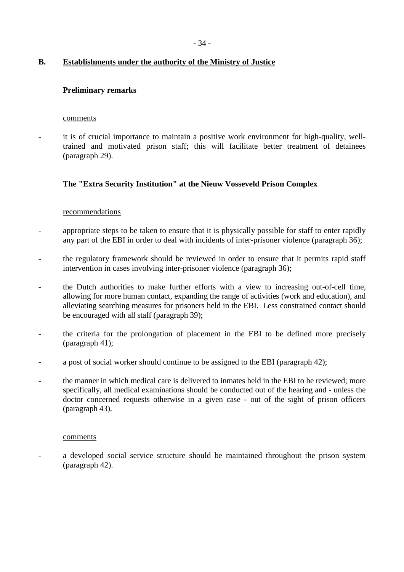### **B. Establishments under the authority of the Ministry of Justice**

### **Preliminary remarks**

#### comments

it is of crucial importance to maintain a positive work environment for high-quality, welltrained and motivated prison staff; this will facilitate better treatment of detainees (paragraph 29).

### **The "Extra Security Institution" at the Nieuw Vosseveld Prison Complex**

#### recommendations

- appropriate steps to be taken to ensure that it is physically possible for staff to enter rapidly any part of the EBI in order to deal with incidents of inter-prisoner violence (paragraph 36);
- the regulatory framework should be reviewed in order to ensure that it permits rapid staff intervention in cases involving inter-prisoner violence (paragraph 36);
- the Dutch authorities to make further efforts with a view to increasing out-of-cell time, allowing for more human contact, expanding the range of activities (work and education), and alleviating searching measures for prisoners held in the EBI. Less constrained contact should be encouraged with all staff (paragraph 39);
- the criteria for the prolongation of placement in the EBI to be defined more precisely (paragraph 41);
- a post of social worker should continue to be assigned to the EBI (paragraph 42);
- the manner in which medical care is delivered to inmates held in the EBI to be reviewed; more specifically, all medical examinations should be conducted out of the hearing and - unless the doctor concerned requests otherwise in a given case - out of the sight of prison officers (paragraph 43).

#### comments

a developed social service structure should be maintained throughout the prison system (paragraph 42).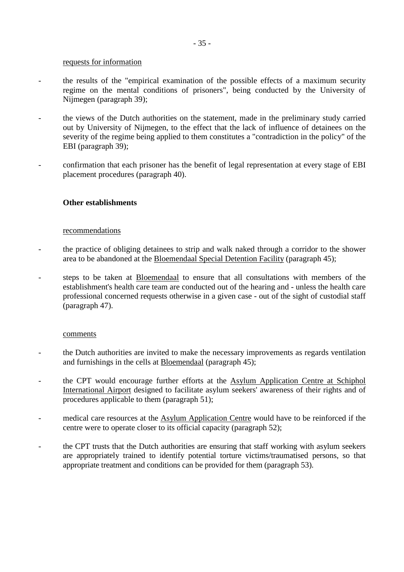#### requests for information

- the results of the "empirical examination of the possible effects of a maximum security regime on the mental conditions of prisoners", being conducted by the University of Nijmegen (paragraph 39);
- the views of the Dutch authorities on the statement, made in the preliminary study carried out by University of Nijmegen, to the effect that the lack of influence of detainees on the severity of the regime being applied to them constitutes a "contradiction in the policy" of the EBI (paragraph 39);
- confirmation that each prisoner has the benefit of legal representation at every stage of EBI placement procedures (paragraph 40).

#### **Other establishments**

#### recommendations

- the practice of obliging detainees to strip and walk naked through a corridor to the shower area to be abandoned at the Bloemendaal Special Detention Facility (paragraph 45);
- steps to be taken at Bloemendaal to ensure that all consultations with members of the establishment's health care team are conducted out of the hearing and - unless the health care professional concerned requests otherwise in a given case - out of the sight of custodial staff (paragraph 47).

#### comments

- the Dutch authorities are invited to make the necessary improvements as regards ventilation and furnishings in the cells at Bloemendaal (paragraph 45);
- the CPT would encourage further efforts at the Asylum Application Centre at Schiphol International Airport designed to facilitate asylum seekers' awareness of their rights and of procedures applicable to them (paragraph 51);
- medical care resources at the **Asylum Application Centre** would have to be reinforced if the centre were to operate closer to its official capacity (paragraph 52);
- the CPT trusts that the Dutch authorities are ensuring that staff working with asylum seekers are appropriately trained to identify potential torture victims/traumatised persons, so that appropriate treatment and conditions can be provided for them (paragraph 53).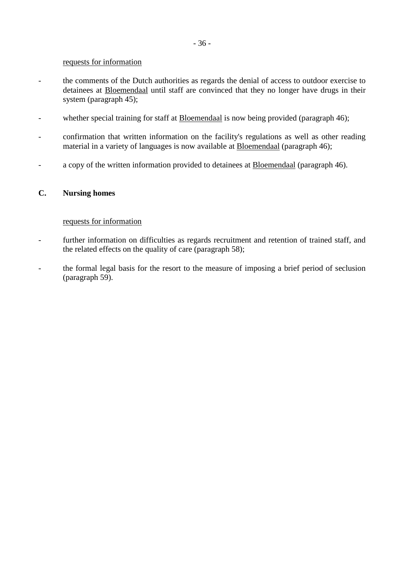#### requests for information

- the comments of the Dutch authorities as regards the denial of access to outdoor exercise to detainees at Bloemendaal until staff are convinced that they no longer have drugs in their system (paragraph 45);
- whether special training for staff at Bloemendaal is now being provided (paragraph 46);
- confirmation that written information on the facility's regulations as well as other reading material in a variety of languages is now available at Bloemendaal (paragraph 46);
- a copy of the written information provided to detainees at Bloemendaal (paragraph 46).

### **C. Nursing homes**

#### requests for information

- further information on difficulties as regards recruitment and retention of trained staff, and the related effects on the quality of care (paragraph 58);
- the formal legal basis for the resort to the measure of imposing a brief period of seclusion (paragraph 59).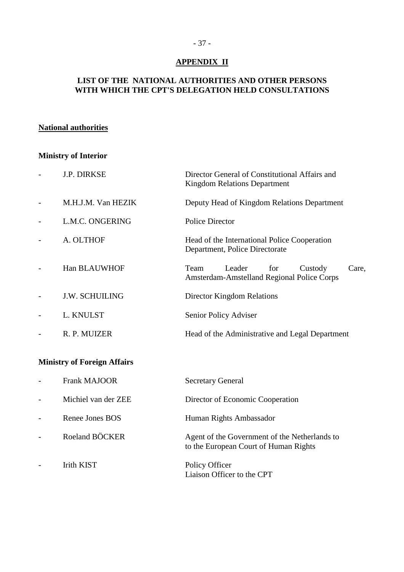## **APPENDIX II**

## **LIST OF THE NATIONAL AUTHORITIES AND OTHER PERSONS WITH WHICH THE CPT'S DELEGATION HELD CONSULTATIONS**

## **National authorities**

## **Ministry of Interior**

| <b>J.P. DIRKSE</b>                 | Director General of Constitutional Affairs and<br><b>Kingdom Relations Department</b>   |
|------------------------------------|-----------------------------------------------------------------------------------------|
| M.H.J.M. Van HEZIK                 | Deputy Head of Kingdom Relations Department                                             |
| L.M.C. ONGERING                    | <b>Police Director</b>                                                                  |
| A. OLTHOF                          | Head of the International Police Cooperation<br>Department, Police Directorate          |
| Han BLAUWHOF                       | Leader<br>Team<br>for<br>Custody<br>Care,<br>Amsterdam-Amstelland Regional Police Corps |
| <b>J.W. SCHUILING</b>              | <b>Director Kingdom Relations</b>                                                       |
| L. KNULST                          | Senior Policy Adviser                                                                   |
| R. P. MUIZER                       | Head of the Administrative and Legal Department                                         |
| <b>Ministry of Foreign Affairs</b> |                                                                                         |
| <b>Frank MAJOOR</b>                | <b>Secretary General</b>                                                                |
| Michiel van der ZEE                | Director of Economic Cooperation                                                        |
| Renee Jones BOS                    | Human Rights Ambassador                                                                 |
| Roeland BÖCKER                     | Agent of the Government of the Netherlands to<br>to the European Court of Human Rights  |
| <b>Irith KIST</b>                  | Policy Officer                                                                          |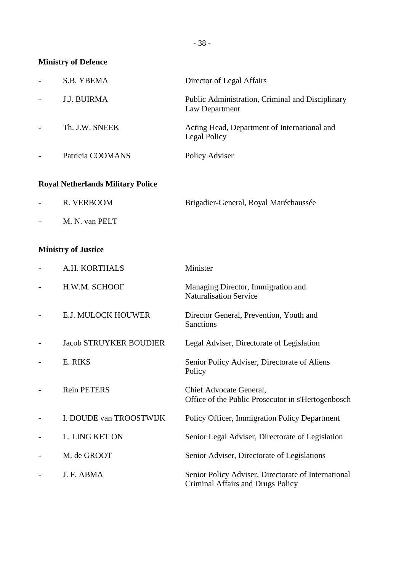**Ministry of Defence** 

| S.B. YBEMA         | Director of Legal Affairs                                          |
|--------------------|--------------------------------------------------------------------|
| <b>J.J. BUIRMA</b> | Public Administration, Criminal and Disciplinary<br>Law Department |
| Th. J.W. SNEEK     | Acting Head, Department of International and<br>Legal Policy       |
| Patricia COOMANS   | Policy Adviser                                                     |

# **Royal Netherlands Military Police**

| $\sim$ 100 $\mu$  | R. VERBOOM     | Brigadier-General, Royal Maréchaussée |
|-------------------|----------------|---------------------------------------|
| $\sim$ 100 $\sim$ | M. N. van PELT |                                       |

## **Ministry of Justice**

| A.H. KORTHALS                 | Minister                                                                                 |
|-------------------------------|------------------------------------------------------------------------------------------|
| H.W.M. SCHOOF                 | Managing Director, Immigration and<br><b>Naturalisation Service</b>                      |
| <b>E.J. MULOCK HOUWER</b>     | Director General, Prevention, Youth and<br><b>Sanctions</b>                              |
| <b>Jacob STRUYKER BOUDIER</b> | Legal Adviser, Directorate of Legislation                                                |
| E. RIKS                       | Senior Policy Adviser, Directorate of Aliens<br>Policy                                   |
| <b>Rein PETERS</b>            | Chief Advocate General,<br>Office of the Public Prosecutor in s'Hertogenbosch            |
| I. DOUDE van TROOSTWIJK       | Policy Officer, Immigration Policy Department                                            |
| L. LING KET ON                | Senior Legal Adviser, Directorate of Legislation                                         |
| M. de GROOT                   | Senior Adviser, Directorate of Legislations                                              |
| J. F. ABMA                    | Senior Policy Adviser, Directorate of International<br>Criminal Affairs and Drugs Policy |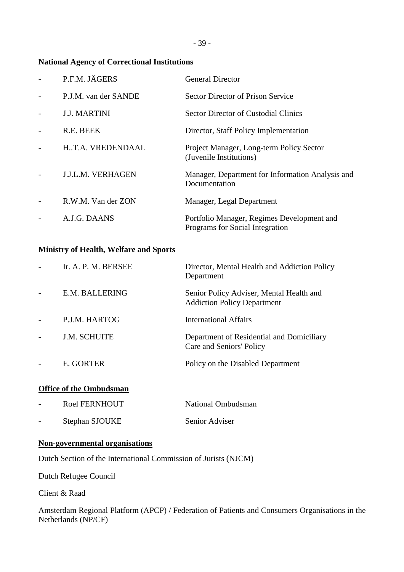## **National Agency of Correctional Institutions**

| P.F.M. JÄGERS            | <b>General Director</b>                                                       |
|--------------------------|-------------------------------------------------------------------------------|
| P.J.M. van der SANDE     | <b>Sector Director of Prison Service</b>                                      |
| <b>J.J. MARTINI</b>      | <b>Sector Director of Custodial Clinics</b>                                   |
| R.E. BEEK                | Director, Staff Policy Implementation                                         |
| HT.A. VREDENDAAL         | Project Manager, Long-term Policy Sector<br>(Juvenile Institutions)           |
| <b>J.J.L.M. VERHAGEN</b> | Manager, Department for Information Analysis and<br>Documentation             |
| R.W.M. Van der ZON       | Manager, Legal Department                                                     |
| A.J.G. DAANS             | Portfolio Manager, Regimes Development and<br>Programs for Social Integration |

## **Ministry of Health, Welfare and Sports**

| Ir. A. P. M. BERSEE | Director, Mental Health and Addiction Policy<br>Department                     |
|---------------------|--------------------------------------------------------------------------------|
| E.M. BALLERING      | Senior Policy Adviser, Mental Health and<br><b>Addiction Policy Department</b> |
| P.J.M. HARTOG       | International Affairs                                                          |
| <b>J.M. SCHUITE</b> | Department of Residential and Domiciliary<br>Care and Seniors' Policy          |
| E. GORTER           | Policy on the Disabled Department                                              |
|                     |                                                                                |

## **Office of the Ombudsman**

| $\overline{\phantom{0}}$ | Roel FERNHOUT  | National Ombudsman |
|--------------------------|----------------|--------------------|
|                          | Stephan SJOUKE | Senior Adviser     |

## **Non-governmental organisations**

Dutch Section of the International Commission of Jurists (NJCM)

Dutch Refugee Council

Client & Raad

Amsterdam Regional Platform (APCP) / Federation of Patients and Consumers Organisations in the Netherlands (NP/CF)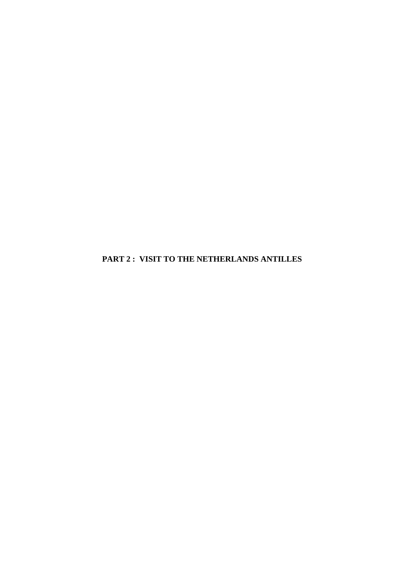**PART 2 : VISIT TO THE NETHERLANDS ANTILLES**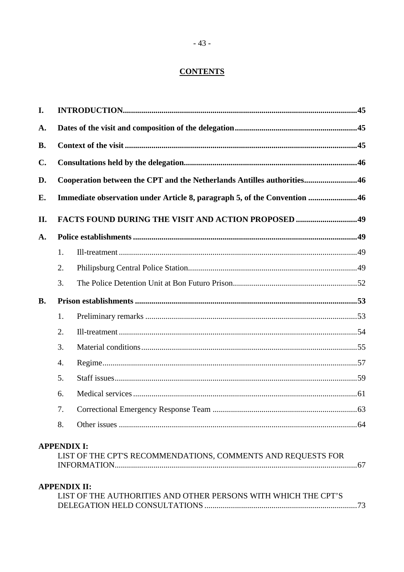## **CONTENTS**

| I.             |    |                                                                                         |  |
|----------------|----|-----------------------------------------------------------------------------------------|--|
| A.             |    |                                                                                         |  |
| <b>B.</b>      |    |                                                                                         |  |
| $\mathbf{C}$ . |    |                                                                                         |  |
| D.             |    | Cooperation between the CPT and the Netherlands Antilles authorities46                  |  |
| Е.             |    | Immediate observation under Article 8, paragraph 5, of the Convention 46                |  |
| II.            |    |                                                                                         |  |
| A.             |    |                                                                                         |  |
|                | 1. |                                                                                         |  |
|                | 2. |                                                                                         |  |
|                | 3. |                                                                                         |  |
| <b>B.</b>      |    |                                                                                         |  |
|                | 1. |                                                                                         |  |
|                | 2. |                                                                                         |  |
|                | 3. |                                                                                         |  |
|                | 4. |                                                                                         |  |
|                | 5. |                                                                                         |  |
|                | 6. |                                                                                         |  |
|                | 7. |                                                                                         |  |
|                | 8. |                                                                                         |  |
|                |    | <b>APPENDIX I:</b><br>LIST OF THE CPT'S RECOMMENDATIONS, COMMENTS AND REQUESTS FOR      |  |
|                |    | <b>APPENDIX II:</b><br>I IST OF THE AITTHODITIES AND OTHED DEDSONS WITH WHICH THE CDT'S |  |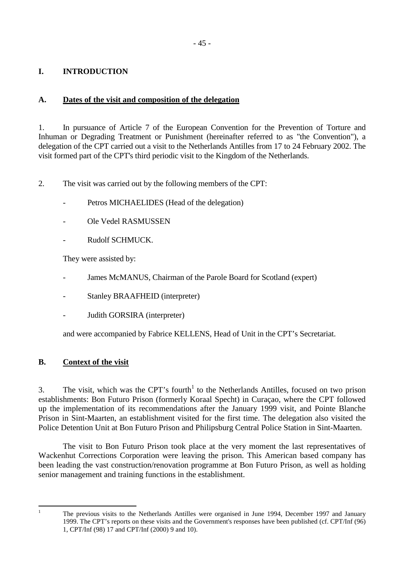## <span id="page-44-0"></span>**I. INTRODUCTION**

## **A. Dates of the visit and composition of the delegation**

1. In pursuance of Article 7 of the European Convention for the Prevention of Torture and Inhuman or Degrading Treatment or Punishment (hereinafter referred to as "the Convention"), a delegation of the CPT carried out a visit to the Netherlands Antilles from 17 to 24 February 2002. The visit formed part of the CPT's third periodic visit to the Kingdom of the Netherlands.

2. The visit was carried out by the following members of the CPT:

- Petros MICHAELIDES (Head of the delegation)
- Ole Vedel RASMUSSEN
- Rudolf SCHMUCK.

They were assisted by:

- James McMANUS, Chairman of the Parole Board for Scotland (expert)
- Stanley BRAAFHEID (interpreter)
- Judith GORSIRA (interpreter)

and were accompanied by Fabrice KELLENS, Head of Unit in the CPT's Secretariat.

## **B. Context of the visit**

3. The visit, which was the CPT's fourth<sup>1</sup> to the Netherlands Antilles, focused on two prison establishments: Bon Futuro Prison (formerly Koraal Specht) in Curaçao, where the CPT followed up the implementation of its recommendations after the January 1999 visit, and Pointe Blanche Prison in Sint-Maarten, an establishment visited for the first time. The delegation also visited the Police Detention Unit at Bon Futuro Prison and Philipsburg Central Police Station in Sint-Maarten.

 The visit to Bon Futuro Prison took place at the very moment the last representatives of Wackenhut Corrections Corporation were leaving the prison. This American based company has been leading the vast construction/renovation programme at Bon Futuro Prison, as well as holding senior management and training functions in the establishment.

 $\frac{1}{1}$ 

The previous visits to the Netherlands Antilles were organised in June 1994, December 1997 and January 1999. The CPT's reports on these visits and the Government's responses have been published (cf. CPT/Inf (96) 1, CPT/Inf (98) 17 and CPT/Inf (2000) 9 and 10).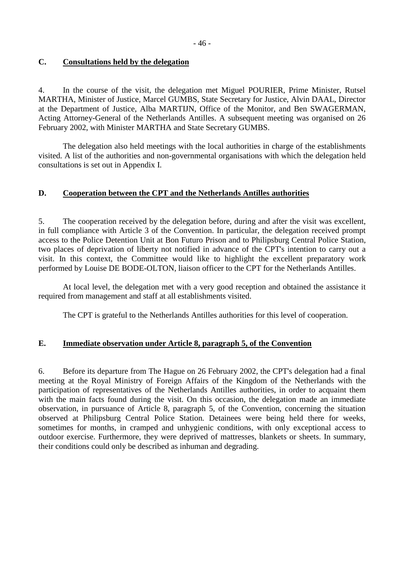### <span id="page-45-0"></span>**C. Consultations held by the delegation**

4. In the course of the visit, the delegation met Miguel POURIER, Prime Minister, Rutsel MARTHA, Minister of Justice, Marcel GUMBS, State Secretary for Justice, Alvin DAAL, Director at the Department of Justice, Alba MARTIJN, Office of the Monitor, and Ben SWAGERMAN, Acting Attorney-General of the Netherlands Antilles. A subsequent meeting was organised on 26 February 2002, with Minister MARTHA and State Secretary GUMBS.

The delegation also held meetings with the local authorities in charge of the establishments visited. A list of the authorities and non-governmental organisations with which the delegation held consultations is set out in Appendix I.

### **D. Cooperation between the CPT and the Netherlands Antilles authorities**

5. The cooperation received by the delegation before, during and after the visit was excellent, in full compliance with Article 3 of the Convention. In particular, the delegation received prompt access to the Police Detention Unit at Bon Futuro Prison and to Philipsburg Central Police Station, two places of deprivation of liberty not notified in advance of the CPT's intention to carry out a visit. In this context, the Committee would like to highlight the excellent preparatory work performed by Louise DE BODE-OLTON, liaison officer to the CPT for the Netherlands Antilles.

 At local level, the delegation met with a very good reception and obtained the assistance it required from management and staff at all establishments visited.

The CPT is grateful to the Netherlands Antilles authorities for this level of cooperation.

### **E. Immediate observation under Article 8, paragraph 5, of the Convention**

6. Before its departure from The Hague on 26 February 2002, the CPT's delegation had a final meeting at the Royal Ministry of Foreign Affairs of the Kingdom of the Netherlands with the participation of representatives of the Netherlands Antilles authorities, in order to acquaint them with the main facts found during the visit. On this occasion, the delegation made an immediate observation, in pursuance of Article 8, paragraph 5, of the Convention, concerning the situation observed at Philipsburg Central Police Station. Detainees were being held there for weeks, sometimes for months, in cramped and unhygienic conditions, with only exceptional access to outdoor exercise. Furthermore, they were deprived of mattresses, blankets or sheets. In summary, their conditions could only be described as inhuman and degrading.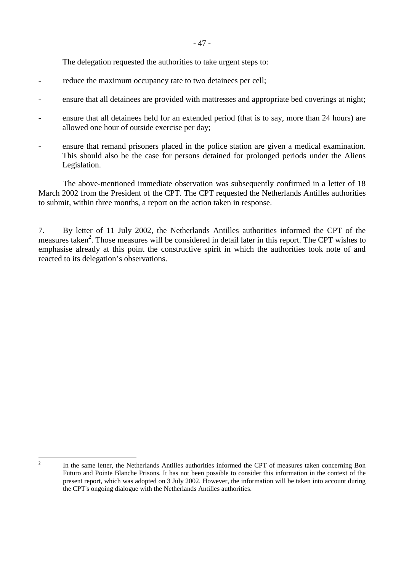The delegation requested the authorities to take urgent steps to:

- reduce the maximum occupancy rate to two detainees per cell;
- ensure that all detainees are provided with mattresses and appropriate bed coverings at night;
- ensure that all detainees held for an extended period (that is to say, more than 24 hours) are allowed one hour of outside exercise per day;
- ensure that remand prisoners placed in the police station are given a medical examination. This should also be the case for persons detained for prolonged periods under the Aliens Legislation.

The above-mentioned immediate observation was subsequently confirmed in a letter of 18 March 2002 from the President of the CPT. The CPT requested the Netherlands Antilles authorities to submit, within three months, a report on the action taken in response.

7. By letter of 11 July 2002, the Netherlands Antilles authorities informed the CPT of the measures taken<sup>2</sup>. Those measures will be considered in detail later in this report. The CPT wishes to emphasise already at this point the constructive spirit in which the authorities took note of and reacted to its delegation's observations.

 $\frac{1}{2}$ 

In the same letter, the Netherlands Antilles authorities informed the CPT of measures taken concerning Bon Futuro and Pointe Blanche Prisons. It has not been possible to consider this information in the context of the present report, which was adopted on 3 July 2002. However, the information will be taken into account during the CPT's ongoing dialogue with the Netherlands Antilles authorities.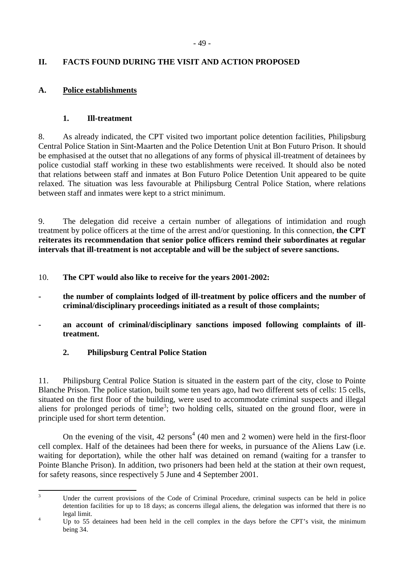## <span id="page-48-0"></span>**II. FACTS FOUND DURING THE VISIT AND ACTION PROPOSED**

## **A. Police establishments**

## **1. Ill-treatment**

8. As already indicated, the CPT visited two important police detention facilities, Philipsburg Central Police Station in Sint-Maarten and the Police Detention Unit at Bon Futuro Prison. It should be emphasised at the outset that no allegations of any forms of physical ill-treatment of detainees by police custodial staff working in these two establishments were received. It should also be noted that relations between staff and inmates at Bon Futuro Police Detention Unit appeared to be quite relaxed. The situation was less favourable at Philipsburg Central Police Station, where relations between staff and inmates were kept to a strict minimum.

9. The delegation did receive a certain number of allegations of intimidation and rough treatment by police officers at the time of the arrest and/or questioning. In this connection, **the CPT reiterates its recommendation that senior police officers remind their subordinates at regular intervals that ill-treatment is not acceptable and will be the subject of severe sanctions.** 

10. **The CPT would also like to receive for the years 2001-2002:** 

- **the number of complaints lodged of ill-treatment by police officers and the number of criminal/disciplinary proceedings initiated as a result of those complaints;**
- an account of criminal/disciplinary sanctions imposed following complaints of ill**treatment.** 
	- **2. Philipsburg Central Police Station**

11. Philipsburg Central Police Station is situated in the eastern part of the city, close to Pointe Blanche Prison. The police station, built some ten years ago, had two different sets of cells: 15 cells, situated on the first floor of the building, were used to accommodate criminal suspects and illegal aliens for prolonged periods of time<sup>3</sup>; two holding cells, situated on the ground floor, were in principle used for short term detention.

On the evening of the visit,  $42$  persons<sup>4</sup> (40 men and 2 women) were held in the first-floor cell complex. Half of the detainees had been there for weeks, in pursuance of the Aliens Law (i.e. waiting for deportation), while the other half was detained on remand (waiting for a transfer to Pointe Blanche Prison). In addition, two prisoners had been held at the station at their own request, for safety reasons, since respectively 5 June and 4 September 2001.

<sup>&</sup>lt;sup>2</sup><br>3 Under the current provisions of the Code of Criminal Procedure, criminal suspects can be held in police detention facilities for up to 18 days; as concerns illegal aliens, the delegation was informed that there is no  $\frac{1}{4}$  legal limit.

Up to 55 detainees had been held in the cell complex in the days before the CPT's visit, the minimum being 34.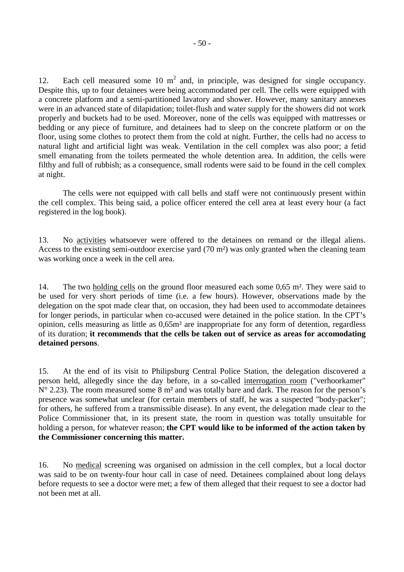12. Each cell measured some 10  $m<sup>2</sup>$  and, in principle, was designed for single occupancy. Despite this, up to four detainees were being accommodated per cell. The cells were equipped with a concrete platform and a semi-partitioned lavatory and shower. However, many sanitary annexes were in an advanced state of dilapidation; toilet-flush and water supply for the showers did not work properly and buckets had to be used. Moreover, none of the cells was equipped with mattresses or bedding or any piece of furniture, and detainees had to sleep on the concrete platform or on the floor, using some clothes to protect them from the cold at night. Further, the cells had no access to natural light and artificial light was weak. Ventilation in the cell complex was also poor; a fetid smell emanating from the toilets permeated the whole detention area. In addition, the cells were filthy and full of rubbish; as a consequence, small rodents were said to be found in the cell complex at night.

The cells were not equipped with call bells and staff were not continuously present within the cell complex. This being said, a police officer entered the cell area at least every hour (a fact registered in the log book).

13. No activities whatsoever were offered to the detainees on remand or the illegal aliens. Access to the existing semi-outdoor exercise yard (70 m²) was only granted when the cleaning team was working once a week in the cell area.

14. The two holding cells on the ground floor measured each some 0,65 m². They were said to be used for very short periods of time (i.e. a few hours). However, observations made by the delegation on the spot made clear that, on occasion, they had been used to accommodate detainees for longer periods, in particular when co-accused were detained in the police station. In the CPT's opinion, cells measuring as little as 0,65m² are inappropriate for any form of detention, regardless of its duration; **it recommends that the cells be taken out of service as areas for accomodating detained persons**.

15. At the end of its visit to Philipsburg Central Police Station, the delegation discovered a person held, allegedly since the day before, in a so-called interrogation room ("verhoorkamer"  $N^{\circ}$  2.23). The room measured some 8 m<sup>2</sup> and was totally bare and dark. The reason for the person's presence was somewhat unclear (for certain members of staff, he was a suspected "body-packer"; for others, he suffered from a transmissible disease). In any event, the delegation made clear to the Police Commissioner that, in its present state, the room in question was totally unsuitable for holding a person, for whatever reason; **the CPT would like to be informed of the action taken by the Commissioner concerning this matter.**

16. No medical screening was organised on admission in the cell complex, but a local doctor was said to be on twenty-four hour call in case of need. Detainees complained about long delays before requests to see a doctor were met; a few of them alleged that their request to see a doctor had not been met at all.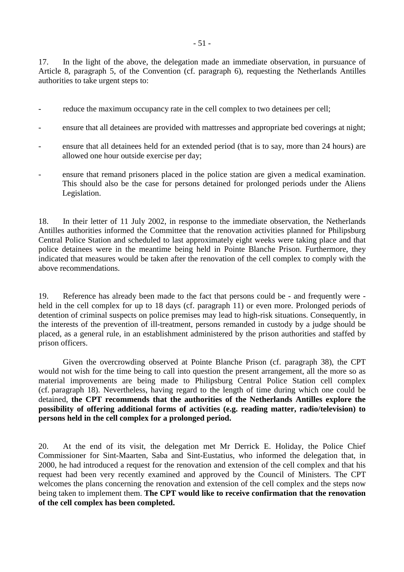17. In the light of the above, the delegation made an immediate observation, in pursuance of Article 8, paragraph 5, of the Convention (cf. paragraph 6), requesting the Netherlands Antilles authorities to take urgent steps to:

- reduce the maximum occupancy rate in the cell complex to two detainees per cell;
- ensure that all detainees are provided with mattresses and appropriate bed coverings at night;
- ensure that all detainees held for an extended period (that is to say, more than 24 hours) are allowed one hour outside exercise per day;
- ensure that remand prisoners placed in the police station are given a medical examination. This should also be the case for persons detained for prolonged periods under the Aliens Legislation.

18. In their letter of 11 July 2002, in response to the immediate observation, the Netherlands Antilles authorities informed the Committee that the renovation activities planned for Philipsburg Central Police Station and scheduled to last approximately eight weeks were taking place and that police detainees were in the meantime being held in Pointe Blanche Prison. Furthermore, they indicated that measures would be taken after the renovation of the cell complex to comply with the above recommendations.

19. Reference has already been made to the fact that persons could be - and frequently were held in the cell complex for up to 18 days (cf. paragraph 11) or even more. Prolonged periods of detention of criminal suspects on police premises may lead to high-risk situations. Consequently, in the interests of the prevention of ill-treatment, persons remanded in custody by a judge should be placed, as a general rule, in an establishment administered by the prison authorities and staffed by prison officers.

Given the overcrowding observed at Pointe Blanche Prison (cf. paragraph 38), the CPT would not wish for the time being to call into question the present arrangement, all the more so as material improvements are being made to Philipsburg Central Police Station cell complex (cf. paragraph 18). Nevertheless, having regard to the length of time during which one could be detained, **the CPT recommends that the authorities of the Netherlands Antilles explore the possibility of offering additional forms of activities (e.g. reading matter, radio/television) to persons held in the cell complex for a prolonged period.** 

20. At the end of its visit, the delegation met Mr Derrick E. Holiday, the Police Chief Commissioner for Sint-Maarten, Saba and Sint-Eustatius, who informed the delegation that, in 2000, he had introduced a request for the renovation and extension of the cell complex and that his request had been very recently examined and approved by the Council of Ministers. The CPT welcomes the plans concerning the renovation and extension of the cell complex and the steps now being taken to implement them. **The CPT would like to receive confirmation that the renovation of the cell complex has been completed.**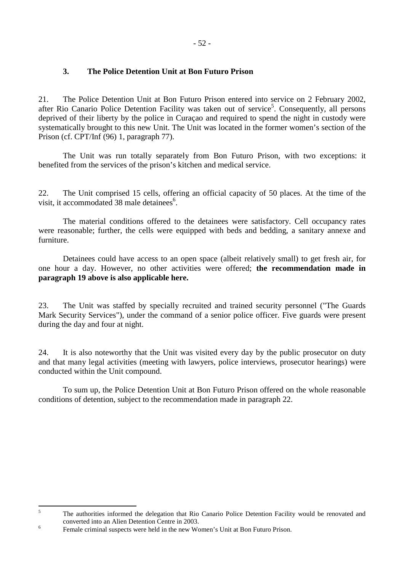### <span id="page-51-0"></span>**3. The Police Detention Unit at Bon Futuro Prison**

21. The Police Detention Unit at Bon Futuro Prison entered into service on 2 February 2002, after Rio Canario Police Detention Facility was taken out of service<sup>5</sup>. Consequently, all persons deprived of their liberty by the police in Curaçao and required to spend the night in custody were systematically brought to this new Unit. The Unit was located in the former women's section of the Prison (cf. CPT/Inf (96) 1, paragraph 77).

The Unit was run totally separately from Bon Futuro Prison, with two exceptions: it benefited from the services of the prison's kitchen and medical service.

22. The Unit comprised 15 cells, offering an official capacity of 50 places. At the time of the visit, it accommodated 38 male detainees<sup>6</sup>.

 The material conditions offered to the detainees were satisfactory. Cell occupancy rates were reasonable; further, the cells were equipped with beds and bedding, a sanitary annexe and furniture.

 Detainees could have access to an open space (albeit relatively small) to get fresh air, for one hour a day. However, no other activities were offered; **the recommendation made in paragraph 19 above is also applicable here.** 

23. The Unit was staffed by specially recruited and trained security personnel ("The Guards Mark Security Services"), under the command of a senior police officer. Five guards were present during the day and four at night.

24. It is also noteworthy that the Unit was visited every day by the public prosecutor on duty and that many legal activities (meeting with lawyers, police interviews, prosecutor hearings) were conducted within the Unit compound.

 To sum up, the Police Detention Unit at Bon Futuro Prison offered on the whole reasonable conditions of detention, subject to the recommendation made in paragraph 22.

 5 The authorities informed the delegation that Rio Canario Police Detention Facility would be renovated and converted into an Alien Detention Centre in 2003. 6

Female criminal suspects were held in the new Women's Unit at Bon Futuro Prison.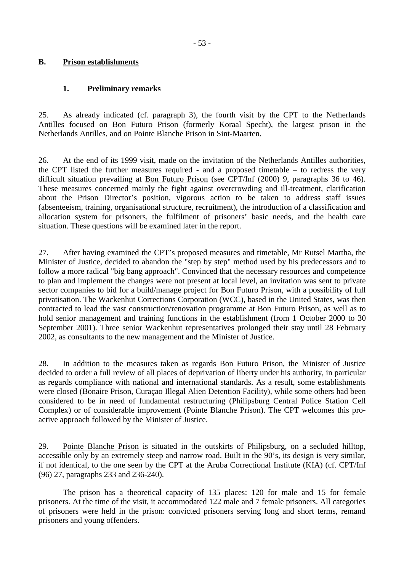### <span id="page-52-0"></span>**B. Prison establishments**

### **1. Preliminary remarks**

25. As already indicated (cf. paragraph 3), the fourth visit by the CPT to the Netherlands Antilles focused on Bon Futuro Prison (formerly Koraal Specht), the largest prison in the Netherlands Antilles, and on Pointe Blanche Prison in Sint-Maarten.

26. At the end of its 1999 visit, made on the invitation of the Netherlands Antilles authorities, the CPT listed the further measures required - and a proposed timetable – to redress the very difficult situation prevailing at Bon Futuro Prison (see CPT/Inf (2000) 9, paragraphs 36 to 46). These measures concerned mainly the fight against overcrowding and ill-treatment, clarification about the Prison Director's position, vigorous action to be taken to address staff issues (absenteeism, training, organisational structure, recruitment), the introduction of a classification and allocation system for prisoners, the fulfilment of prisoners' basic needs, and the health care situation. These questions will be examined later in the report.

27. After having examined the CPT's proposed measures and timetable, Mr Rutsel Martha, the Minister of Justice, decided to abandon the "step by step" method used by his predecessors and to follow a more radical "big bang approach". Convinced that the necessary resources and competence to plan and implement the changes were not present at local level, an invitation was sent to private sector companies to bid for a build/manage project for Bon Futuro Prison, with a possibility of full privatisation. The Wackenhut Corrections Corporation (WCC), based in the United States, was then contracted to lead the vast construction/renovation programme at Bon Futuro Prison, as well as to hold senior management and training functions in the establishment (from 1 October 2000 to 30 September 2001). Three senior Wackenhut representatives prolonged their stay until 28 February 2002, as consultants to the new management and the Minister of Justice.

28. In addition to the measures taken as regards Bon Futuro Prison, the Minister of Justice decided to order a full review of all places of deprivation of liberty under his authority, in particular as regards compliance with national and international standards. As a result, some establishments were closed (Bonaire Prison, Curaçao Illegal Alien Detention Facility), while some others had been considered to be in need of fundamental restructuring (Philipsburg Central Police Station Cell Complex) or of considerable improvement (Pointe Blanche Prison). The CPT welcomes this proactive approach followed by the Minister of Justice.

29. Pointe Blanche Prison is situated in the outskirts of Philipsburg, on a secluded hilltop, accessible only by an extremely steep and narrow road. Built in the 90's, its design is very similar, if not identical, to the one seen by the CPT at the Aruba Correctional Institute (KIA) (cf. CPT/Inf (96) 27, paragraphs 233 and 236-240).

 The prison has a theoretical capacity of 135 places: 120 for male and 15 for female prisoners. At the time of the visit, it accommodated 122 male and 7 female prisoners. All categories of prisoners were held in the prison: convicted prisoners serving long and short terms, remand prisoners and young offenders.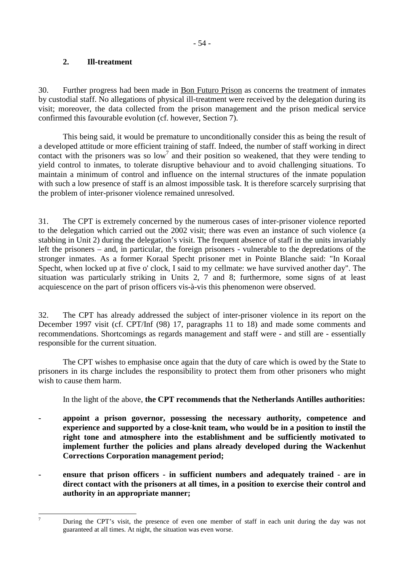### <span id="page-53-0"></span>**2. Ill-treatment**

-<br>7

30. Further progress had been made in Bon Futuro Prison as concerns the treatment of inmates by custodial staff. No allegations of physical ill-treatment were received by the delegation during its visit; moreover, the data collected from the prison management and the prison medical service confirmed this favourable evolution (cf. however, Section 7).

This being said, it would be premature to unconditionally consider this as being the result of a developed attitude or more efficient training of staff. Indeed, the number of staff working in direct contact with the prisoners was so  $low<sup>7</sup>$  and their position so weakened, that they were tending to yield control to inmates, to tolerate disruptive behaviour and to avoid challenging situations. To maintain a minimum of control and influence on the internal structures of the inmate population with such a low presence of staff is an almost impossible task. It is therefore scarcely surprising that the problem of inter-prisoner violence remained unresolved.

31. The CPT is extremely concerned by the numerous cases of inter-prisoner violence reported to the delegation which carried out the 2002 visit; there was even an instance of such violence (a stabbing in Unit 2) during the delegation's visit. The frequent absence of staff in the units invariably left the prisoners – and, in particular, the foreign prisoners - vulnerable to the depredations of the stronger inmates. As a former Koraal Specht prisoner met in Pointe Blanche said: "In Koraal Specht, when locked up at five o' clock, I said to my cellmate: we have survived another day". The situation was particularly striking in Units 2, 7 and 8; furthermore, some signs of at least acquiescence on the part of prison officers vis-à-vis this phenomenon were observed.

32. The CPT has already addressed the subject of inter-prisoner violence in its report on the December 1997 visit (cf. CPT/Inf (98) 17, paragraphs 11 to 18) and made some comments and recommendations. Shortcomings as regards management and staff were - and still are - essentially responsible for the current situation.

The CPT wishes to emphasise once again that the duty of care which is owed by the State to prisoners in its charge includes the responsibility to protect them from other prisoners who might wish to cause them harm.

In the light of the above, **the CPT recommends that the Netherlands Antilles authorities:** 

- **appoint a prison governor, possessing the necessary authority, competence and experience and supported by a close-knit team, who would be in a position to instil the right tone and atmosphere into the establishment and be sufficiently motivated to implement further the policies and plans already developed during the Wackenhut Corrections Corporation management period;**
- **ensure that prison officers in sufficient numbers and adequately trained are in direct contact with the prisoners at all times, in a position to exercise their control and authority in an appropriate manner;**

During the CPT's visit, the presence of even one member of staff in each unit during the day was not guaranteed at all times. At night, the situation was even worse.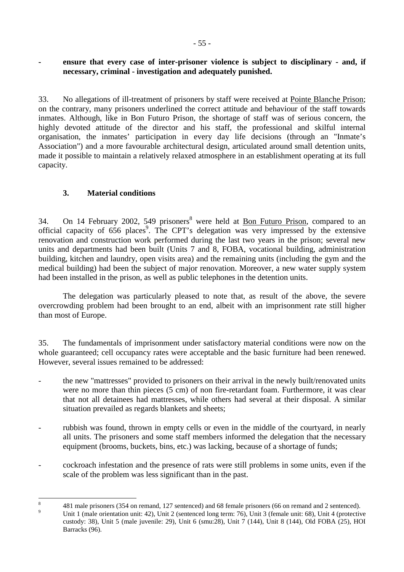### <span id="page-54-0"></span>ensure that every case of inter-prisoner violence is subject to disciplinary - and, if **necessary, criminal - investigation and adequately punished.**

33. No allegations of ill-treatment of prisoners by staff were received at Pointe Blanche Prison; on the contrary, many prisoners underlined the correct attitude and behaviour of the staff towards inmates. Although, like in Bon Futuro Prison, the shortage of staff was of serious concern, the highly devoted attitude of the director and his staff, the professional and skilful internal organisation, the inmates' participation in every day life decisions (through an "Inmate's Association") and a more favourable architectural design, articulated around small detention units, made it possible to maintain a relatively relaxed atmosphere in an establishment operating at its full capacity.

## **3. Material conditions**

34. On 14 February 2002, 549 prisoners<sup>8</sup> were held at **Bon Futuro Prison**, compared to an official capacity of 656 places<sup>9</sup>. The CPT's delegation was very impressed by the extensive renovation and construction work performed during the last two years in the prison; several new units and departments had been built (Units 7 and 8, FOBA, vocational building, administration building, kitchen and laundry, open visits area) and the remaining units (including the gym and the medical building) had been the subject of major renovation. Moreover, a new water supply system had been installed in the prison, as well as public telephones in the detention units.

The delegation was particularly pleased to note that, as result of the above, the severe overcrowding problem had been brought to an end, albeit with an imprisonment rate still higher than most of Europe.

35. The fundamentals of imprisonment under satisfactory material conditions were now on the whole guaranteed; cell occupancy rates were acceptable and the basic furniture had been renewed. However, several issues remained to be addressed:

- the new "mattresses" provided to prisoners on their arrival in the newly built/renovated units were no more than thin pieces (5 cm) of non fire-retardant foam. Furthermore, it was clear that not all detainees had mattresses, while others had several at their disposal. A similar situation prevailed as regards blankets and sheets;
- rubbish was found, thrown in empty cells or even in the middle of the courtyard, in nearly all units. The prisoners and some staff members informed the delegation that the necessary equipment (brooms, buckets, bins, etc.) was lacking, because of a shortage of funds;
- cockroach infestation and the presence of rats were still problems in some units, even if the scale of the problem was less significant than in the past.

 8 481 male prisoners (354 on remand, 127 sentenced) and 68 female prisoners (66 on remand and 2 sentenced).

 $\overline{9}$  Unit 1 (male orientation unit: 42), Unit 2 (sentenced long term: 76), Unit 3 (female unit: 68), Unit 4 (protective custody: 38), Unit 5 (male juvenile: 29), Unit 6 (smu:28), Unit 7 (144), Unit 8 (144), Old FOBA (25), HOI Barracks (96).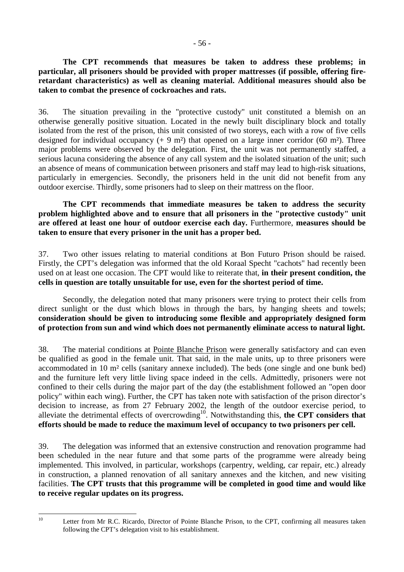**The CPT recommends that measures be taken to address these problems; in particular, all prisoners should be provided with proper mattresses (if possible, offering fireretardant characteristics) as well as cleaning material. Additional measures should also be taken to combat the presence of cockroaches and rats.**

36. The situation prevailing in the "protective custody" unit constituted a blemish on an otherwise generally positive situation. Located in the newly built disciplinary block and totally isolated from the rest of the prison, this unit consisted of two storeys, each with a row of five cells designed for individual occupancy  $(+ 9 \text{ m}^2)$  that opened on a large inner corridor (60 m<sup>2</sup>). Three major problems were observed by the delegation. First, the unit was not permanently staffed, a serious lacuna considering the absence of any call system and the isolated situation of the unit; such an absence of means of communication between prisoners and staff may lead to high-risk situations, particularly in emergencies. Secondly, the prisoners held in the unit did not benefit from any outdoor exercise. Thirdly, some prisoners had to sleep on their mattress on the floor.

### **The CPT recommends that immediate measures be taken to address the security problem highlighted above and to ensure that all prisoners in the "protective custody" unit are offered at least one hour of outdoor exercise each day.** Furthermore, **measures should be taken to ensure that every prisoner in the unit has a proper bed.**

37. Two other issues relating to material conditions at Bon Futuro Prison should be raised. Firstly, the CPT's delegation was informed that the old Koraal Specht "cachots" had recently been used on at least one occasion. The CPT would like to reiterate that, **in their present condition, the cells in question are totally unsuitable for use, even for the shortest period of time.**

 Secondly, the delegation noted that many prisoners were trying to protect their cells from direct sunlight or the dust which blows in through the bars, by hanging sheets and towels; **consideration should be given to introducing some flexible and appropriately designed form of protection from sun and wind which does not permanently eliminate access to natural light.**

38. The material conditions at Pointe Blanche Prison were generally satisfactory and can even be qualified as good in the female unit. That said, in the male units, up to three prisoners were accommodated in 10 m² cells (sanitary annexe included). The beds (one single and one bunk bed) and the furniture left very little living space indeed in the cells. Admittedly, prisoners were not confined to their cells during the major part of the day (the establishment followed an "open door policy" within each wing). Further, the CPT has taken note with satisfaction of the prison director's decision to increase, as from 27 February 2002, the length of the outdoor exercise period, to alleviate the detrimental effects of overcrowding<sup>10</sup>. Notwithstanding this, the CPT considers that **efforts should be made to reduce the maximum level of occupancy to two prisoners per cell.**

39. The delegation was informed that an extensive construction and renovation programme had been scheduled in the near future and that some parts of the programme were already being implemented. This involved, in particular, workshops (carpentry, welding, car repair, etc.) already in construction, a planned renovation of all sanitary annexes and the kitchen, and new visiting facilities. **The CPT trusts that this programme will be completed in good time and would like to receive regular updates on its progress.** 

 $10$ 

Letter from Mr R.C. Ricardo, Director of Pointe Blanche Prison, to the CPT, confirming all measures taken following the CPT's delegation visit to his establishment.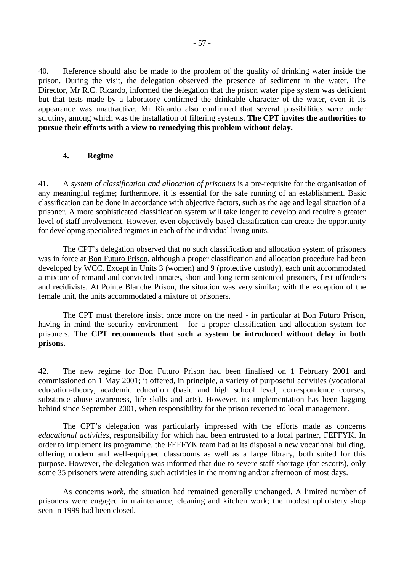<span id="page-56-0"></span>40. Reference should also be made to the problem of the quality of drinking water inside the prison. During the visit, the delegation observed the presence of sediment in the water. The Director, Mr R.C. Ricardo, informed the delegation that the prison water pipe system was deficient but that tests made by a laboratory confirmed the drinkable character of the water, even if its appearance was unattractive. Mr Ricardo also confirmed that several possibilities were under scrutiny, among which was the installation of filtering systems. **The CPT invites the authorities to pursue their efforts with a view to remedying this problem without delay.**

### **4. Regime**

41. A *system of classification and allocation of prisoners* is a pre-requisite for the organisation of any meaningful regime; furthermore, it is essential for the safe running of an establishment. Basic classification can be done in accordance with objective factors, such as the age and legal situation of a prisoner. A more sophisticated classification system will take longer to develop and require a greater level of staff involvement. However, even objectively-based classification can create the opportunity for developing specialised regimes in each of the individual living units.

 The CPT's delegation observed that no such classification and allocation system of prisoners was in force at Bon Futuro Prison, although a proper classification and allocation procedure had been developed by WCC. Except in Units 3 (women) and 9 (protective custody), each unit accommodated a mixture of remand and convicted inmates, short and long term sentenced prisoners, first offenders and recidivists. At Pointe Blanche Prison, the situation was very similar; with the exception of the female unit, the units accommodated a mixture of prisoners.

 The CPT must therefore insist once more on the need - in particular at Bon Futuro Prison, having in mind the security environment - for a proper classification and allocation system for prisoners. **The CPT recommends that such a system be introduced without delay in both prisons.**

42. The new regime for Bon Futuro Prison had been finalised on 1 February 2001 and commissioned on 1 May 2001; it offered, in principle, a variety of purposeful activities (vocational education-theory, academic education (basic and high school level, correspondence courses, substance abuse awareness, life skills and arts). However, its implementation has been lagging behind since September 2001, when responsibility for the prison reverted to local management.

The CPT's delegation was particularly impressed with the efforts made as concerns *educational activities*, responsibility for which had been entrusted to a local partner, FEFFYK. In order to implement its programme, the FEFFYK team had at its disposal a new vocational building, offering modern and well-equipped classrooms as well as a large library, both suited for this purpose. However, the delegation was informed that due to severe staff shortage (for escorts), only some 35 prisoners were attending such activities in the morning and/or afternoon of most days.

As concerns *work*, the situation had remained generally unchanged. A limited number of prisoners were engaged in maintenance, cleaning and kitchen work; the modest upholstery shop seen in 1999 had been closed.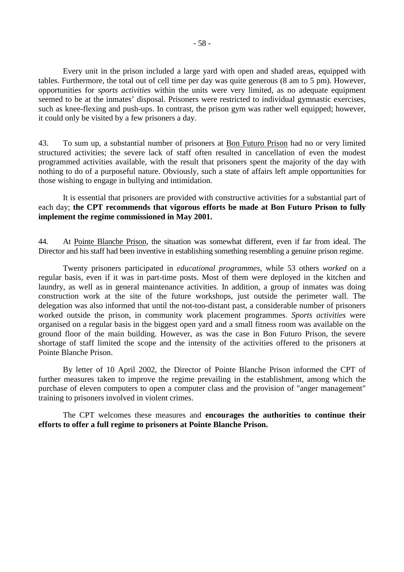Every unit in the prison included a large yard with open and shaded areas, equipped with tables. Furthermore, the total out of cell time per day was quite generous (8 am to 5 pm). However, opportunities for *sports activities* within the units were very limited, as no adequate equipment seemed to be at the inmates' disposal. Prisoners were restricted to individual gymnastic exercises, such as knee-flexing and push-ups. In contrast, the prison gym was rather well equipped; however, it could only be visited by a few prisoners a day.

43. To sum up, a substantial number of prisoners at Bon Futuro Prison had no or very limited structured activities; the severe lack of staff often resulted in cancellation of even the modest programmed activities available, with the result that prisoners spent the majority of the day with nothing to do of a purposeful nature. Obviously, such a state of affairs left ample opportunities for those wishing to engage in bullying and intimidation.

 It is essential that prisoners are provided with constructive activities for a substantial part of each day; **the CPT recommends that vigorous efforts be made at Bon Futuro Prison to fully implement the regime commissioned in May 2001.**

44. At Pointe Blanche Prison, the situation was somewhat different, even if far from ideal. The Director and his staff had been inventive in establishing something resembling a genuine prison regime.

 Twenty prisoners participated in *educational programmes*, while 53 others *worked* on a regular basis, even if it was in part-time posts. Most of them were deployed in the kitchen and laundry, as well as in general maintenance activities. In addition, a group of inmates was doing construction work at the site of the future workshops, just outside the perimeter wall. The delegation was also informed that until the not-too-distant past, a considerable number of prisoners worked outside the prison, in community work placement programmes. *Sports activities* were organised on a regular basis in the biggest open yard and a small fitness room was available on the ground floor of the main building. However, as was the case in Bon Futuro Prison, the severe shortage of staff limited the scope and the intensity of the activities offered to the prisoners at Pointe Blanche Prison.

By letter of 10 April 2002, the Director of Pointe Blanche Prison informed the CPT of further measures taken to improve the regime prevailing in the establishment, among which the purchase of eleven computers to open a computer class and the provision of "anger management" training to prisoners involved in violent crimes.

The CPT welcomes these measures and **encourages the authorities to continue their efforts to offer a full regime to prisoners at Pointe Blanche Prison.**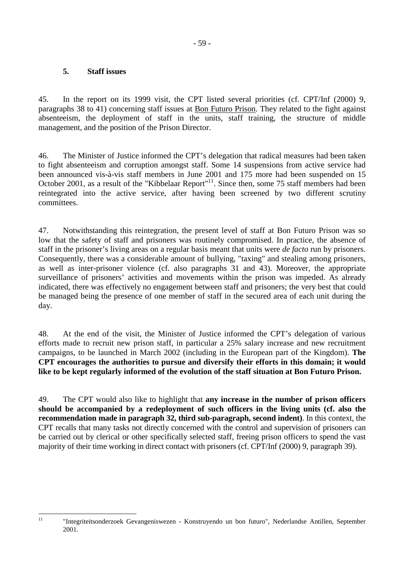### <span id="page-58-0"></span>**5. Staff issues**

45. In the report on its 1999 visit, the CPT listed several priorities (cf. CPT/Inf (2000) 9, paragraphs 38 to 41) concerning staff issues at Bon Futuro Prison. They related to the fight against absenteeism, the deployment of staff in the units, staff training, the structure of middle management, and the position of the Prison Director.

46. The Minister of Justice informed the CPT's delegation that radical measures had been taken to fight absenteeism and corruption amongst staff. Some 14 suspensions from active service had been announced vis-à-vis staff members in June 2001 and 175 more had been suspended on 15 October 2001, as a result of the "Kibbelaar Report"<sup>11</sup>. Since then, some 75 staff members had been reintegrated into the active service, after having been screened by two different scrutiny committees.

47. Notwithstanding this reintegration, the present level of staff at Bon Futuro Prison was so low that the safety of staff and prisoners was routinely compromised. In practice, the absence of staff in the prisoner's living areas on a regular basis meant that units were *de facto* run by prisoners. Consequently, there was a considerable amount of bullying, "taxing" and stealing among prisoners, as well as inter-prisoner violence (cf. also paragraphs 31 and 43). Moreover, the appropriate surveillance of prisoners' activities and movements within the prison was impeded. As already indicated, there was effectively no engagement between staff and prisoners; the very best that could be managed being the presence of one member of staff in the secured area of each unit during the day.

48. At the end of the visit, the Minister of Justice informed the CPT's delegation of various efforts made to recruit new prison staff, in particular a 25% salary increase and new recruitment campaigns, to be launched in March 2002 (including in the European part of the Kingdom). **The CPT encourages the authorities to pursue and diversify their efforts in this domain; it would like to be kept regularly informed of the evolution of the staff situation at Bon Futuro Prison.** 

49. The CPT would also like to highlight that **any increase in the number of prison officers should be accompanied by a redeployment of such officers in the living units (cf. also the recommendation made in paragraph 32, third sub-paragraph, second indent)**. In this context, the CPT recalls that many tasks not directly concerned with the control and supervision of prisoners can be carried out by clerical or other specifically selected staff, freeing prison officers to spend the vast majority of their time working in direct contact with prisoners (cf. CPT/Inf (2000) 9, paragraph 39).

 $11$ 

<sup>11 &</sup>quot;Integriteitsonderzoek Gevangeniswezen - Konstruyendo un bon futuro", Nederlandse Antillen, September 2001.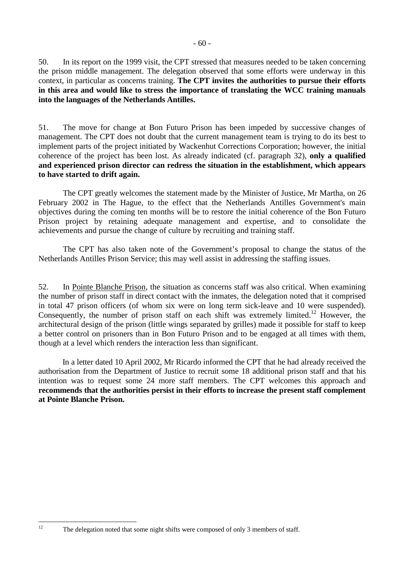50. In its report on the 1999 visit, the CPT stressed that measures needed to be taken concerning the prison middle management. The delegation observed that some efforts were underway in this context, in particular as concerns training. **The CPT invites the authorities to pursue their efforts in this area and would like to stress the importance of translating the WCC training manuals into the languages of the Netherlands Antilles.** 

51. The move for change at Bon Futuro Prison has been impeded by successive changes of management. The CPT does not doubt that the current management team is trying to do its best to implement parts of the project initiated by Wackenhut Corrections Corporation; however, the initial coherence of the project has been lost. As already indicated (cf. paragraph 32), **only a qualified and experienced prison director can redress the situation in the establishment, which appears to have started to drift again.** 

 The CPT greatly welcomes the statement made by the Minister of Justice, Mr Martha, on 26 February 2002 in The Hague, to the effect that the Netherlands Antilles Government's main objectives during the coming ten months will be to restore the initial coherence of the Bon Futuro Prison project by retaining adequate management and expertise, and to consolidate the achievements and pursue the change of culture by recruiting and training staff.

 The CPT has also taken note of the Government's proposal to change the status of the Netherlands Antilles Prison Service; this may well assist in addressing the staffing issues.

52. In Pointe Blanche Prison, the situation as concerns staff was also critical. When examining the number of prison staff in direct contact with the inmates, the delegation noted that it comprised in total 47 prison officers (of whom six were on long term sick-leave and 10 were suspended). Consequently, the number of prison staff on each shift was extremely limited.<sup>12</sup> However, the architectural design of the prison (little wings separated by grilles) made it possible for staff to keep a better control on prisoners than in Bon Futuro Prison and to be engaged at all times with them, though at a level which renders the interaction less than significant.

 In a letter dated 10 April 2002, Mr Ricardo informed the CPT that he had already received the authorisation from the Department of Justice to recruit some 18 additional prison staff and that his intention was to request some 24 more staff members. The CPT welcomes this approach and **recommends that the authorities persist in their efforts to increase the present staff complement at Pointe Blanche Prison.**

 $12$ 

The delegation noted that some night shifts were composed of only 3 members of staff.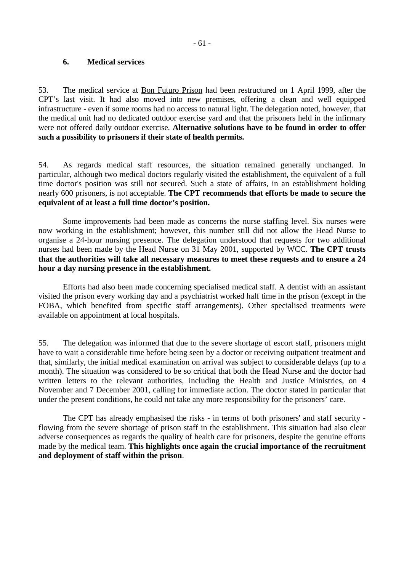#### <span id="page-60-0"></span>**6. Medical services**

53. The medical service at Bon Futuro Prison had been restructured on 1 April 1999, after the CPT's last visit. It had also moved into new premises, offering a clean and well equipped infrastructure - even if some rooms had no access to natural light. The delegation noted, however, that the medical unit had no dedicated outdoor exercise yard and that the prisoners held in the infirmary were not offered daily outdoor exercise. **Alternative solutions have to be found in order to offer such a possibility to prisoners if their state of health permits.**

54. As regards medical staff resources, the situation remained generally unchanged. In particular, although two medical doctors regularly visited the establishment, the equivalent of a full time doctor's position was still not secured. Such a state of affairs, in an establishment holding nearly 600 prisoners, is not acceptable. **The CPT recommends that efforts be made to secure the equivalent of at least a full time doctor's position.**

 Some improvements had been made as concerns the nurse staffing level. Six nurses were now working in the establishment; however, this number still did not allow the Head Nurse to organise a 24-hour nursing presence. The delegation understood that requests for two additional nurses had been made by the Head Nurse on 31 May 2001, supported by WCC. **The CPT trusts that the authorities will take all necessary measures to meet these requests and to ensure a 24 hour a day nursing presence in the establishment.**

 Efforts had also been made concerning specialised medical staff. A dentist with an assistant visited the prison every working day and a psychiatrist worked half time in the prison (except in the FOBA, which benefited from specific staff arrangements). Other specialised treatments were available on appointment at local hospitals.

55. The delegation was informed that due to the severe shortage of escort staff, prisoners might have to wait a considerable time before being seen by a doctor or receiving outpatient treatment and that, similarly, the initial medical examination on arrival was subject to considerable delays (up to a month). The situation was considered to be so critical that both the Head Nurse and the doctor had written letters to the relevant authorities, including the Health and Justice Ministries, on 4 November and 7 December 2001, calling for immediate action. The doctor stated in particular that under the present conditions, he could not take any more responsibility for the prisoners' care.

The CPT has already emphasised the risks - in terms of both prisoners' and staff security flowing from the severe shortage of prison staff in the establishment. This situation had also clear adverse consequences as regards the quality of health care for prisoners, despite the genuine efforts made by the medical team. **This highlights once again the crucial importance of the recruitment and deployment of staff within the prison**.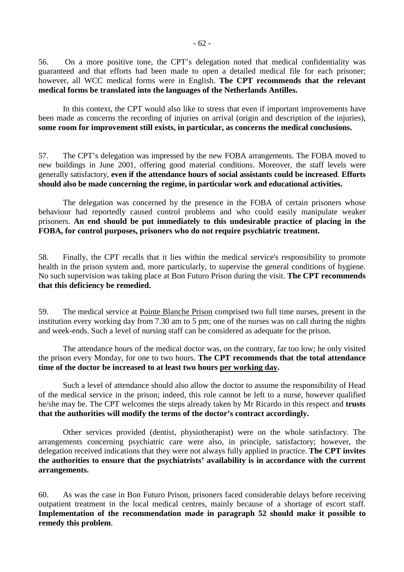56. On a more positive tone, the CPT's delegation noted that medical confidentiality was guaranteed and that efforts had been made to open a detailed medical file for each prisoner; however, all WCC medical forms were in English. **The CPT recommends that the relevant medical forms be translated into the languages of the Netherlands Antilles.**

In this context, the CPT would also like to stress that even if important improvements have been made as concerns the recording of injuries on arrival (origin and description of the injuries), **some room for improvement still exists, in particular, as concerns the medical conclusions.** 

57. The CPT's delegation was impressed by the new FOBA arrangements. The FOBA moved to new buildings in June 2001, offering good material conditions. Moreover, the staff levels were generally satisfactory, **even if the attendance hours of social assistants could be increased**. **Efforts should also be made concerning the regime, in particular work and educational activities.** 

The delegation was concerned by the presence in the FOBA of certain prisoners whose behaviour had reportedly caused control problems and who could easily manipulate weaker prisoners. **An end should be put immediately to this undesirable practice of placing in the FOBA, for control purposes, prisoners who do not require psychiatric treatment.**

58. Finally, the CPT recalls that it lies within the medical service's responsibility to promote health in the prison system and, more particularly, to supervise the general conditions of hygiene. No such supervision was taking place at Bon Futuro Prison during the visit. **The CPT recommends that this deficiency be remedied.**

59. The medical service at Pointe Blanche Prison comprised two full time nurses, present in the institution every working day from 7.30 am to 5 pm; one of the nurses was on call during the nights and week-ends. Such a level of nursing staff can be considered as adequate for the prison.

The attendance hours of the medical doctor was, on the contrary, far too low; he only visited the prison every Monday, for one to two hours. **The CPT recommends that the total attendance time of the doctor be increased to at least two hours per working day.**

Such a level of attendance should also allow the doctor to assume the responsibility of Head of the medical service in the prison; indeed, this role cannot be left to a nurse, however qualified he/she may be. The CPT welcomes the steps already taken by Mr Ricardo in this respect and **trusts that the authorities will modify the terms of the doctor's contract accordingly.**

 Other services provided (dentist, physiotherapist) were on the whole satisfactory. The arrangements concerning psychiatric care were also, in principle, satisfactory; however, the delegation received indications that they were not always fully applied in practice. **The CPT invites the authorities to ensure that the psychiatrists' availability is in accordance with the current arrangements.**

60. As was the case in Bon Futuro Prison, prisoners faced considerable delays before receiving outpatient treatment in the local medical centres, mainly because of a shortage of escort staff. **Implementation of the recommendation made in paragraph 52 should make it possible to remedy this problem**.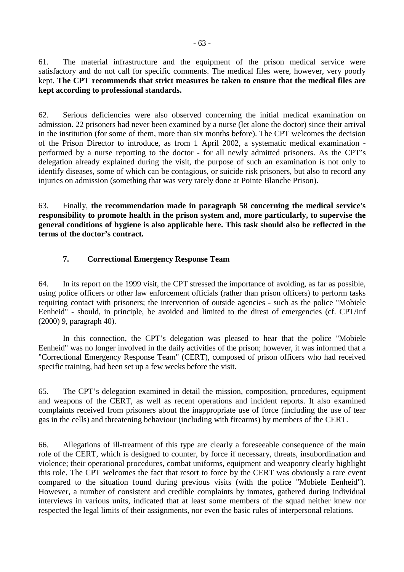<span id="page-62-0"></span>61. The material infrastructure and the equipment of the prison medical service were satisfactory and do not call for specific comments. The medical files were, however, very poorly kept. **The CPT recommends that strict measures be taken to ensure that the medical files are kept according to professional standards.**

62. Serious deficiencies were also observed concerning the initial medical examination on admission. 22 prisoners had never been examined by a nurse (let alone the doctor) since their arrival in the institution (for some of them, more than six months before). The CPT welcomes the decision of the Prison Director to introduce, as from 1 April 2002, a systematic medical examination performed by a nurse reporting to the doctor - for all newly admitted prisoners. As the CPT's delegation already explained during the visit, the purpose of such an examination is not only to identify diseases, some of which can be contagious, or suicide risk prisoners, but also to record any injuries on admission (something that was very rarely done at Pointe Blanche Prison).

63. Finally, **the recommendation made in paragraph 58 concerning the medical service's responsibility to promote health in the prison system and, more particularly, to supervise the general conditions of hygiene is also applicable here. This task should also be reflected in the terms of the doctor's contract.** 

## **7. Correctional Emergency Response Team**

64. In its report on the 1999 visit, the CPT stressed the importance of avoiding, as far as possible, using police officers or other law enforcement officials (rather than prison officers) to perform tasks requiring contact with prisoners; the intervention of outside agencies - such as the police "Mobiele Eenheid" - should, in principle, be avoided and limited to the direst of emergencies (cf. CPT/Inf (2000) 9, paragraph 40).

 In this connection, the CPT's delegation was pleased to hear that the police "Mobiele Eenheid" was no longer involved in the daily activities of the prison; however, it was informed that a "Correctional Emergency Response Team" (CERT), composed of prison officers who had received specific training, had been set up a few weeks before the visit.

65. The CPT's delegation examined in detail the mission, composition, procedures, equipment and weapons of the CERT, as well as recent operations and incident reports. It also examined complaints received from prisoners about the inappropriate use of force (including the use of tear gas in the cells) and threatening behaviour (including with firearms) by members of the CERT.

66. Allegations of ill-treatment of this type are clearly a foreseeable consequence of the main role of the CERT, which is designed to counter, by force if necessary, threats, insubordination and violence; their operational procedures, combat uniforms, equipment and weaponry clearly highlight this role. The CPT welcomes the fact that resort to force by the CERT was obviously a rare event compared to the situation found during previous visits (with the police "Mobiele Eenheid"). However, a number of consistent and credible complaints by inmates, gathered during individual interviews in various units, indicated that at least some members of the squad neither knew nor respected the legal limits of their assignments, nor even the basic rules of interpersonal relations.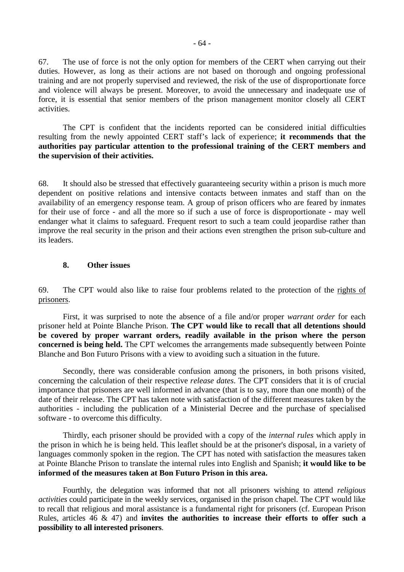<span id="page-63-0"></span>67. The use of force is not the only option for members of the CERT when carrying out their duties. However, as long as their actions are not based on thorough and ongoing professional training and are not properly supervised and reviewed, the risk of the use of disproportionate force and violence will always be present. Moreover, to avoid the unnecessary and inadequate use of force, it is essential that senior members of the prison management monitor closely all CERT activities.

The CPT is confident that the incidents reported can be considered initial difficulties resulting from the newly appointed CERT staff's lack of experience; **it recommends that the authorities pay particular attention to the professional training of the CERT members and the supervision of their activities.** 

68. It should also be stressed that effectively guaranteeing security within a prison is much more dependent on positive relations and intensive contacts between inmates and staff than on the availability of an emergency response team. A group of prison officers who are feared by inmates for their use of force - and all the more so if such a use of force is disproportionate - may well endanger what it claims to safeguard. Frequent resort to such a team could jeopardise rather than improve the real security in the prison and their actions even strengthen the prison sub-culture and its leaders.

### **8. Other issues**

69. The CPT would also like to raise four problems related to the protection of the rights of prisoners.

First, it was surprised to note the absence of a file and/or proper *warrant order* for each prisoner held at Pointe Blanche Prison. **The CPT would like to recall that all detentions should be covered by proper warrant orders, readily available in the prison where the person concerned is being held.** The CPT welcomes the arrangements made subsequently between Pointe Blanche and Bon Futuro Prisons with a view to avoiding such a situation in the future.

Secondly, there was considerable confusion among the prisoners, in both prisons visited, concerning the calculation of their respective *release dates*. The CPT considers that it is of crucial importance that prisoners are well informed in advance (that is to say, more than one month) of the date of their release. The CPT has taken note with satisfaction of the different measures taken by the authorities - including the publication of a Ministerial Decree and the purchase of specialised software - to overcome this difficulty.

Thirdly, each prisoner should be provided with a copy of the *internal rules* which apply in the prison in which he is being held. This leaflet should be at the prisoner's disposal, in a variety of languages commonly spoken in the region. The CPT has noted with satisfaction the measures taken at Pointe Blanche Prison to translate the internal rules into English and Spanish; **it would like to be informed of the measures taken at Bon Futuro Prison in this area.**

 Fourthly, the delegation was informed that not all prisoners wishing to attend *religious activities* could participate in the weekly services, organised in the prison chapel. The CPT would like to recall that religious and moral assistance is a fundamental right for prisoners (cf. European Prison Rules, articles 46 & 47) and **invites the authorities to increase their efforts to offer such a possibility to all interested prisoners**.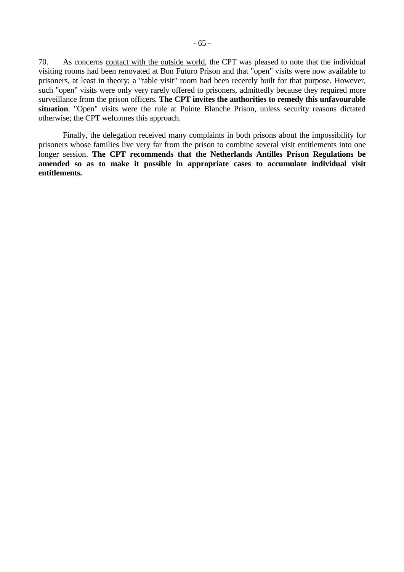70. As concerns contact with the outside world, the CPT was pleased to note that the individual visiting rooms had been renovated at Bon Futuro Prison and that "open" visits were now available to prisoners, at least in theory; a "table visit" room had been recently built for that purpose. However, such "open" visits were only very rarely offered to prisoners, admittedly because they required more surveillance from the prison officers. **The CPT invites the authorities to remedy this unfavourable situation**. "Open" visits were the rule at Pointe Blanche Prison, unless security reasons dictated otherwise; the CPT welcomes this approach.

 Finally, the delegation received many complaints in both prisons about the impossibility for prisoners whose families live very far from the prison to combine several visit entitlements into one longer session. **The CPT recommends that the Netherlands Antilles Prison Regulations be amended so as to make it possible in appropriate cases to accumulate individual visit entitlements.**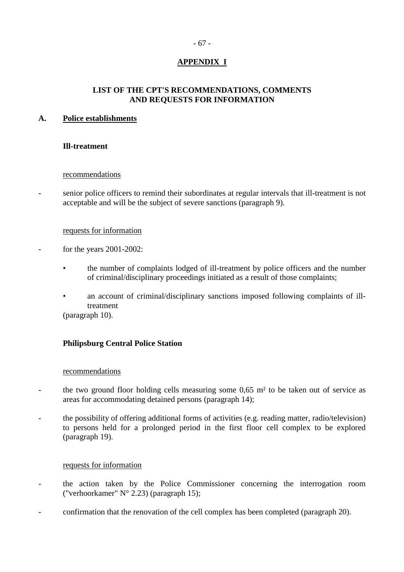### - 67 -

## **APPENDIX I**

### **LIST OF THE CPT'S RECOMMENDATIONS, COMMENTS AND REQUESTS FOR INFORMATION**

### <span id="page-66-0"></span>**A. Police establishments**

### **Ill-treatment**

### recommendations

- senior police officers to remind their subordinates at regular intervals that ill-treatment is not acceptable and will be the subject of severe sanctions (paragraph 9).

#### requests for information

- for the years 2001-2002:
	- the number of complaints lodged of ill-treatment by police officers and the number of criminal/disciplinary proceedings initiated as a result of those complaints;
	- an account of criminal/disciplinary sanctions imposed following complaints of illtreatment (paragraph 10).

### **Philipsburg Central Police Station**

#### recommendations

- the two ground floor holding cells measuring some 0,65 m<sup>2</sup> to be taken out of service as areas for accommodating detained persons (paragraph 14);
- the possibility of offering additional forms of activities (e.g. reading matter, radio/television) to persons held for a prolonged period in the first floor cell complex to be explored (paragraph 19).

### requests for information

- the action taken by the Police Commissioner concerning the interrogation room ("verhoorkamer" N° 2.23) (paragraph 15);
- confirmation that the renovation of the cell complex has been completed (paragraph 20).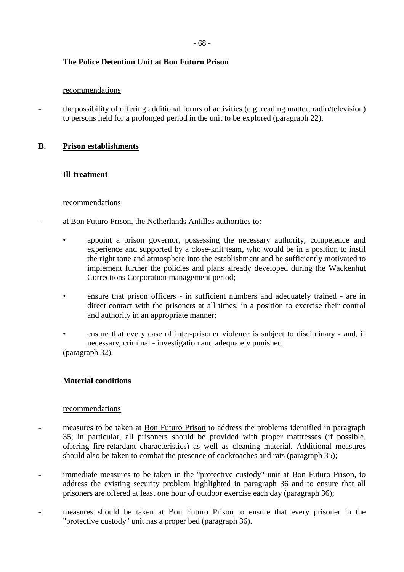### **The Police Detention Unit at Bon Futuro Prison**

#### recommendations

the possibility of offering additional forms of activities (e.g. reading matter, radio/television) to persons held for a prolonged period in the unit to be explored (paragraph 22).

### **B. Prison establishments**

### **Ill-treatment**

### recommendations

- at Bon Futuro Prison, the Netherlands Antilles authorities to:
	- appoint a prison governor, possessing the necessary authority, competence and experience and supported by a close-knit team, who would be in a position to instil the right tone and atmosphere into the establishment and be sufficiently motivated to implement further the policies and plans already developed during the Wackenhut Corrections Corporation management period;
	- ensure that prison officers in sufficient numbers and adequately trained are in direct contact with the prisoners at all times, in a position to exercise their control and authority in an appropriate manner;
	- ensure that every case of inter-prisoner violence is subject to disciplinary and, if necessary, criminal - investigation and adequately punished (paragraph 32).

### **Material conditions**

### recommendations

- measures to be taken at **Bon Futuro Prison** to address the problems identified in paragraph 35; in particular, all prisoners should be provided with proper mattresses (if possible, offering fire-retardant characteristics) as well as cleaning material. Additional measures should also be taken to combat the presence of cockroaches and rats (paragraph 35);
- immediate measures to be taken in the "protective custody" unit at Bon Futuro Prison, to address the existing security problem highlighted in paragraph 36 and to ensure that all prisoners are offered at least one hour of outdoor exercise each day (paragraph 36);
- measures should be taken at Bon Futuro Prison to ensure that every prisoner in the "protective custody" unit has a proper bed (paragraph 36).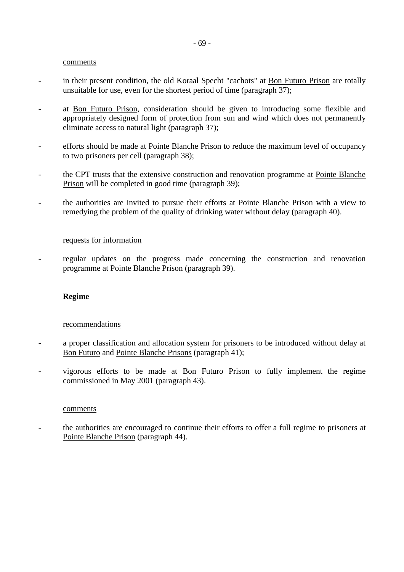#### comments

- in their present condition, the old Koraal Specht "cachots" at <u>Bon Futuro Prison</u> are totally unsuitable for use, even for the shortest period of time (paragraph 37);
- at Bon Futuro Prison, consideration should be given to introducing some flexible and appropriately designed form of protection from sun and wind which does not permanently eliminate access to natural light (paragraph 37);
- efforts should be made at Pointe Blanche Prison to reduce the maximum level of occupancy to two prisoners per cell (paragraph 38);
- the CPT trusts that the extensive construction and renovation programme at Pointe Blanche Prison will be completed in good time (paragraph 39);
- the authorities are invited to pursue their efforts at Pointe Blanche Prison with a view to remedying the problem of the quality of drinking water without delay (paragraph 40).

#### requests for information

- regular updates on the progress made concerning the construction and renovation programme at Pointe Blanche Prison (paragraph 39).

### **Regime**

#### recommendations

- a proper classification and allocation system for prisoners to be introduced without delay at Bon Futuro and Pointe Blanche Prisons (paragraph 41);
- vigorous efforts to be made at Bon Futuro Prison to fully implement the regime commissioned in May 2001 (paragraph 43).

#### comments

- the authorities are encouraged to continue their efforts to offer a full regime to prisoners at Pointe Blanche Prison (paragraph 44).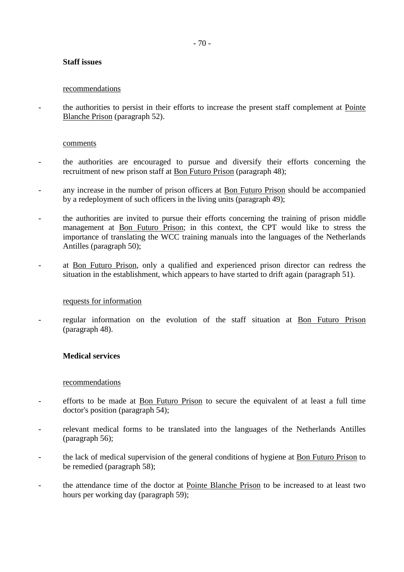### **Staff issues**

#### recommendations

- the authorities to persist in their efforts to increase the present staff complement at Pointe Blanche Prison (paragraph 52).

#### comments

- the authorities are encouraged to pursue and diversify their efforts concerning the recruitment of new prison staff at Bon Futuro Prison (paragraph 48);
- any increase in the number of prison officers at Bon Futuro Prison should be accompanied by a redeployment of such officers in the living units (paragraph 49);
- the authorities are invited to pursue their efforts concerning the training of prison middle management at Bon Futuro Prison; in this context, the CPT would like to stress the importance of translating the WCC training manuals into the languages of the Netherlands Antilles (paragraph 50);
- at Bon Futuro Prison, only a qualified and experienced prison director can redress the situation in the establishment, which appears to have started to drift again (paragraph 51).

### requests for information

regular information on the evolution of the staff situation at Bon Futuro Prison (paragraph 48).

### **Medical services**

#### recommendations

- efforts to be made at Bon Futuro Prison to secure the equivalent of at least a full time doctor's position (paragraph 54);
- relevant medical forms to be translated into the languages of the Netherlands Antilles (paragraph 56);
- the lack of medical supervision of the general conditions of hygiene at Bon Futuro Prison to be remedied (paragraph 58);
- the attendance time of the doctor at Pointe Blanche Prison to be increased to at least two hours per working day (paragraph 59);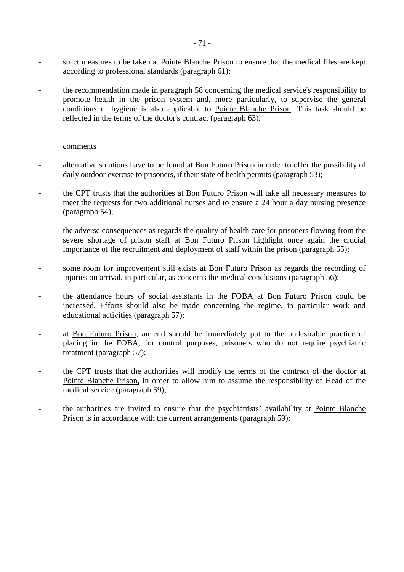- strict measures to be taken at Pointe Blanche Prison to ensure that the medical files are kept according to professional standards (paragraph 61);
- the recommendation made in paragraph 58 concerning the medical service's responsibility to promote health in the prison system and, more particularly, to supervise the general conditions of hygiene is also applicable to Pointe Blanche Prison. This task should be reflected in the terms of the doctor's contract (paragraph 63).

#### comments

- alternative solutions have to be found at Bon Futuro Prison in order to offer the possibility of daily outdoor exercise to prisoners, if their state of health permits (paragraph 53);
- the CPT trusts that the authorities at Bon Futuro Prison will take all necessary measures to meet the requests for two additional nurses and to ensure a 24 hour a day nursing presence (paragraph 54);
- the adverse consequences as regards the quality of health care for prisoners flowing from the severe shortage of prison staff at Bon Futuro Prison highlight once again the crucial importance of the recruitment and deployment of staff within the prison (paragraph 55);
- some room for improvement still exists at Bon Futuro Prison as regards the recording of injuries on arrival, in particular, as concerns the medical conclusions (paragraph 56);
- the attendance hours of social assistants in the FOBA at Bon Futuro Prison could be increased. Efforts should also be made concerning the regime, in particular work and educational activities (paragraph 57);
- at <u>Bon Futuro Prison</u>, an end should be immediately put to the undesirable practice of placing in the FOBA, for control purposes, prisoners who do not require psychiatric treatment (paragraph 57);
- the CPT trusts that the authorities will modify the terms of the contract of the doctor at Pointe Blanche Prison, in order to allow him to assume the responsibility of Head of the medical service (paragraph 59);
- the authorities are invited to ensure that the psychiatrists' availability at Pointe Blanche Prison is in accordance with the current arrangements (paragraph 59);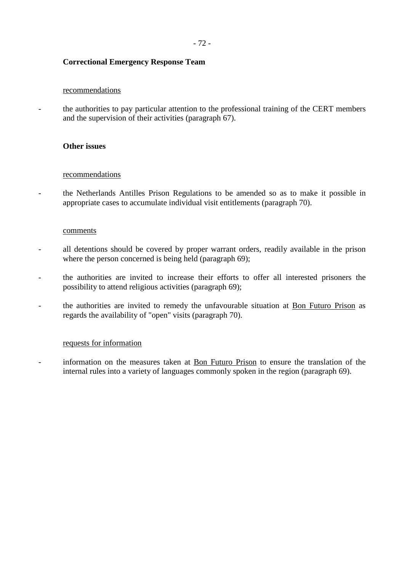### **Correctional Emergency Response Team**

#### recommendations

- the authorities to pay particular attention to the professional training of the CERT members and the supervision of their activities (paragraph 67).

#### **Other issues**

#### recommendations

the Netherlands Antilles Prison Regulations to be amended so as to make it possible in appropriate cases to accumulate individual visit entitlements (paragraph 70).

#### **comments**

- all detentions should be covered by proper warrant orders, readily available in the prison where the person concerned is being held (paragraph 69);
- the authorities are invited to increase their efforts to offer all interested prisoners the possibility to attend religious activities (paragraph 69);
- the authorities are invited to remedy the unfavourable situation at Bon Futuro Prison as regards the availability of "open" visits (paragraph 70).

#### requests for information

- information on the measures taken at Bon Futuro Prison to ensure the translation of the internal rules into a variety of languages commonly spoken in the region (paragraph 69).